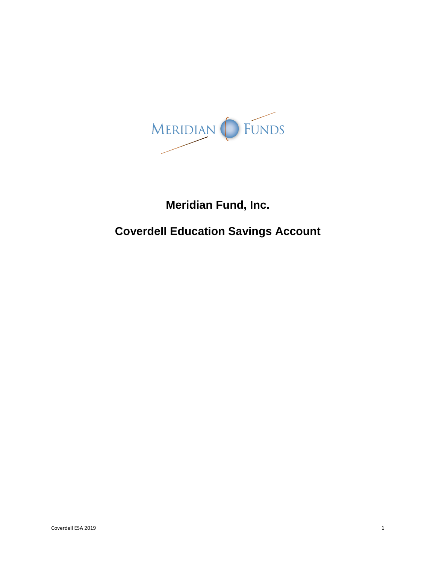

# **Meridian Fund, Inc.**

# **Coverdell Education Savings Account**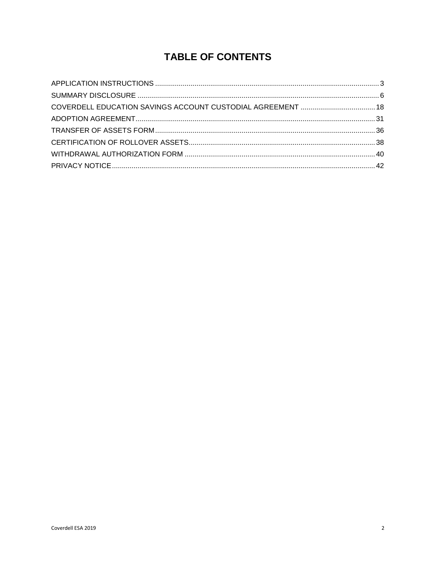# **TABLE OF CONTENTS**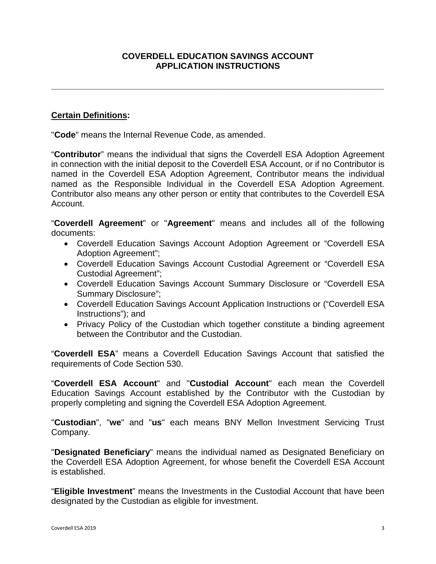## **COVERDELL EDUCATION SAVINGS ACCOUNT APPLICATION INSTRUCTIONS**

<span id="page-2-0"></span>**\_\_\_\_\_\_\_\_\_\_\_\_\_\_\_\_\_\_\_\_\_\_\_\_\_\_\_\_\_\_\_\_\_\_\_\_\_\_\_\_\_\_\_\_\_\_\_\_\_\_\_\_\_\_\_\_\_\_\_\_\_\_\_\_\_\_\_\_\_\_**

# **Certain Definitions:**

"**Code**" means the Internal Revenue Code, as amended.

"**Contributor**" means the individual that signs the Coverdell ESA Adoption Agreement in connection with the initial deposit to the Coverdell ESA Account, or if no Contributor is named in the Coverdell ESA Adoption Agreement, Contributor means the individual named as the Responsible Individual in the Coverdell ESA Adoption Agreement. Contributor also means any other person or entity that contributes to the Coverdell ESA Account.

"**Coverdell Agreement**" or "**Agreement**" means and includes all of the following documents:

- Coverdell Education Savings Account Adoption Agreement or "Coverdell ESA Adoption Agreement";
- Coverdell Education Savings Account Custodial Agreement or "Coverdell ESA Custodial Agreement";
- Coverdell Education Savings Account Summary Disclosure or "Coverdell ESA Summary Disclosure";
- Coverdell Education Savings Account Application Instructions or ("Coverdell ESA Instructions"); and
- Privacy Policy of the Custodian which together constitute a binding agreement between the Contributor and the Custodian.

"**Coverdell ESA**" means a Coverdell Education Savings Account that satisfied the requirements of Code Section 530.

"**Coverdell ESA Account**" and "**Custodial Account**" each mean the Coverdell Education Savings Account established by the Contributor with the Custodian by properly completing and signing the Coverdell ESA Adoption Agreement.

"**Custodian**", "**we**" and "**us**" each means BNY Mellon Investment Servicing Trust Company.

"**Designated Beneficiary**" means the individual named as Designated Beneficiary on the Coverdell ESA Adoption Agreement, for whose benefit the Coverdell ESA Account is established.

"**Eligible Investment**" means the Investments in the Custodial Account that have been designated by the Custodian as eligible for investment.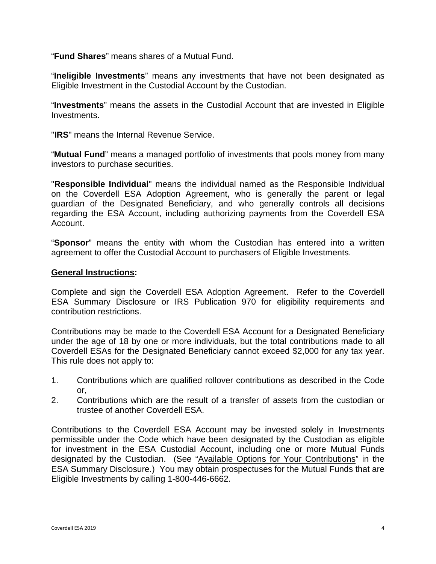"**Fund Shares**" means shares of a Mutual Fund.

"**Ineligible Investments**" means any investments that have not been designated as Eligible Investment in the Custodial Account by the Custodian.

"**Investments**" means the assets in the Custodial Account that are invested in Eligible Investments.

"**IRS**" means the Internal Revenue Service.

"**Mutual Fund**" means a managed portfolio of investments that pools money from many investors to purchase securities.

"**Responsible Individual**" means the individual named as the Responsible Individual on the Coverdell ESA Adoption Agreement, who is generally the parent or legal guardian of the Designated Beneficiary, and who generally controls all decisions regarding the ESA Account, including authorizing payments from the Coverdell ESA Account.

"**Sponsor**" means the entity with whom the Custodian has entered into a written agreement to offer the Custodial Account to purchasers of Eligible Investments.

#### **General Instructions:**

Complete and sign the Coverdell ESA Adoption Agreement. Refer to the Coverdell ESA Summary Disclosure or IRS Publication 970 for eligibility requirements and contribution restrictions.

Contributions may be made to the Coverdell ESA Account for a Designated Beneficiary under the age of 18 by one or more individuals, but the total contributions made to all Coverdell ESAs for the Designated Beneficiary cannot exceed \$2,000 for any tax year. This rule does not apply to:

- 1. Contributions which are qualified rollover contributions as described in the Code or,
- 2. Contributions which are the result of a transfer of assets from the custodian or trustee of another Coverdell ESA.

Contributions to the Coverdell ESA Account may be invested solely in Investments permissible under the Code which have been designated by the Custodian as eligible for investment in the ESA Custodial Account, including one or more Mutual Funds designated by the Custodian. (See "Available Options for Your Contributions" in the ESA Summary Disclosure.) You may obtain prospectuses for the Mutual Funds that are Eligible Investments by calling 1-800-446-6662.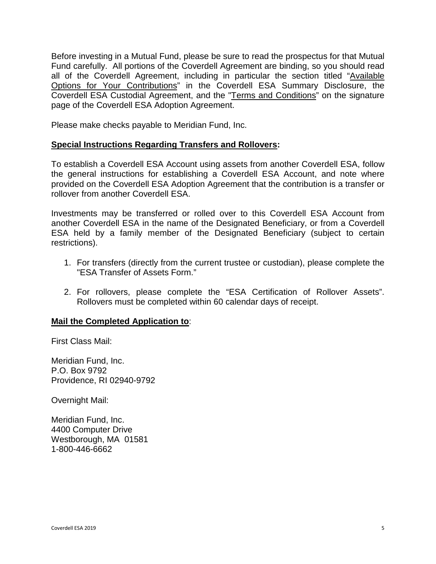Before investing in a Mutual Fund, please be sure to read the prospectus for that Mutual Fund carefully. All portions of the Coverdell Agreement are binding, so you should read all of the Coverdell Agreement, including in particular the section titled "Available Options for Your Contributions" in the Coverdell ESA Summary Disclosure, the Coverdell ESA Custodial Agreement, and the "Terms and Conditions" on the signature page of the Coverdell ESA Adoption Agreement.

Please make checks payable to Meridian Fund, Inc.

#### **Special Instructions Regarding Transfers and Rollovers:**

To establish a Coverdell ESA Account using assets from another Coverdell ESA, follow the general instructions for establishing a Coverdell ESA Account, and note where provided on the Coverdell ESA Adoption Agreement that the contribution is a transfer or rollover from another Coverdell ESA.

Investments may be transferred or rolled over to this Coverdell ESA Account from another Coverdell ESA in the name of the Designated Beneficiary, or from a Coverdell ESA held by a family member of the Designated Beneficiary (subject to certain restrictions).

- 1. For transfers (directly from the current trustee or custodian), please complete the "ESA Transfer of Assets Form."
- 2. For rollovers, please complete the "ESA Certification of Rollover Assets". Rollovers must be completed within 60 calendar days of receipt.

#### **Mail the Completed Application to**:

First Class Mail:

Meridian Fund, Inc. P.O. Box 9792 Providence, RI 02940-9792

Overnight Mail:

Meridian Fund, Inc. 4400 Computer Drive Westborough, MA 01581 1-800-446-6662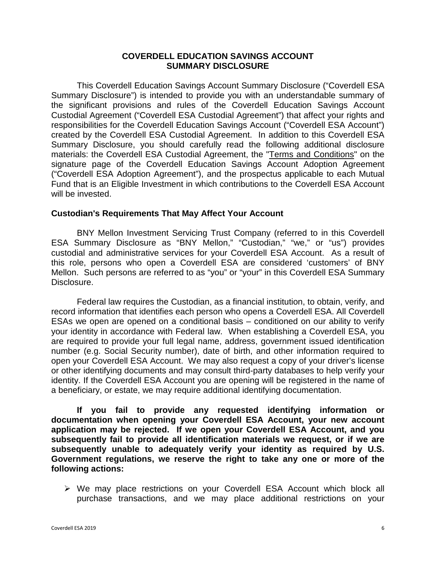#### **COVERDELL EDUCATION SAVINGS ACCOUNT SUMMARY DISCLOSURE**

<span id="page-5-0"></span>This Coverdell Education Savings Account Summary Disclosure ("Coverdell ESA Summary Disclosure") is intended to provide you with an understandable summary of the significant provisions and rules of the Coverdell Education Savings Account Custodial Agreement ("Coverdell ESA Custodial Agreement") that affect your rights and responsibilities for the Coverdell Education Savings Account ("Coverdell ESA Account") created by the Coverdell ESA Custodial Agreement. In addition to this Coverdell ESA Summary Disclosure, you should carefully read the following additional disclosure materials: the Coverdell ESA Custodial Agreement, the "Terms and Conditions" on the signature page of the Coverdell Education Savings Account Adoption Agreement ("Coverdell ESA Adoption Agreement"), and the prospectus applicable to each Mutual Fund that is an Eligible Investment in which contributions to the Coverdell ESA Account will be invested.

#### **Custodian's Requirements That May Affect Your Account**

BNY Mellon Investment Servicing Trust Company (referred to in this Coverdell ESA Summary Disclosure as "BNY Mellon," "Custodian," "we," or "us") provides custodial and administrative services for your Coverdell ESA Account. As a result of this role, persons who open a Coverdell ESA are considered 'customers' of BNY Mellon. Such persons are referred to as "you" or "your" in this Coverdell ESA Summary Disclosure.

Federal law requires the Custodian, as a financial institution, to obtain, verify, and record information that identifies each person who opens a Coverdell ESA. All Coverdell ESAs we open are opened on a conditional basis – conditioned on our ability to verify your identity in accordance with Federal law. When establishing a Coverdell ESA, you are required to provide your full legal name, address, government issued identification number (e.g. Social Security number), date of birth, and other information required to open your Coverdell ESA Account. We may also request a copy of your driver's license or other identifying documents and may consult third-party databases to help verify your identity. If the Coverdell ESA Account you are opening will be registered in the name of a beneficiary, or estate, we may require additional identifying documentation.

**If you fail to provide any requested identifying information or documentation when opening your Coverdell ESA Account, your new account application may be rejected. If we open your Coverdell ESA Account, and you subsequently fail to provide all identification materials we request, or if we are subsequently unable to adequately verify your identity as required by U.S. Government regulations, we reserve the right to take any one or more of the following actions:**

 We may place restrictions on your Coverdell ESA Account which block all purchase transactions, and we may place additional restrictions on your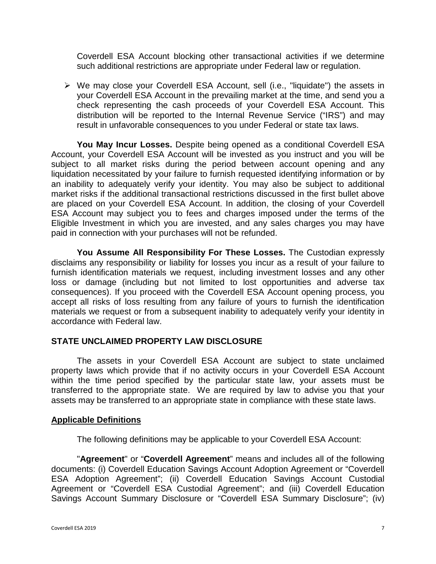Coverdell ESA Account blocking other transactional activities if we determine such additional restrictions are appropriate under Federal law or regulation.

 We may close your Coverdell ESA Account, sell (i.e., "liquidate") the assets in your Coverdell ESA Account in the prevailing market at the time, and send you a check representing the cash proceeds of your Coverdell ESA Account. This distribution will be reported to the Internal Revenue Service ("IRS") and may result in unfavorable consequences to you under Federal or state tax laws.

**You May Incur Losses.** Despite being opened as a conditional Coverdell ESA Account, your Coverdell ESA Account will be invested as you instruct and you will be subject to all market risks during the period between account opening and any liquidation necessitated by your failure to furnish requested identifying information or by an inability to adequately verify your identity. You may also be subject to additional market risks if the additional transactional restrictions discussed in the first bullet above are placed on your Coverdell ESA Account. In addition, the closing of your Coverdell ESA Account may subject you to fees and charges imposed under the terms of the Eligible Investment in which you are invested, and any sales charges you may have paid in connection with your purchases will not be refunded.

**You Assume All Responsibility For These Losses.** The Custodian expressly disclaims any responsibility or liability for losses you incur as a result of your failure to furnish identification materials we request, including investment losses and any other loss or damage (including but not limited to lost opportunities and adverse tax consequences). If you proceed with the Coverdell ESA Account opening process, you accept all risks of loss resulting from any failure of yours to furnish the identification materials we request or from a subsequent inability to adequately verify your identity in accordance with Federal law.

#### **STATE UNCLAIMED PROPERTY LAW DISCLOSURE**

The assets in your Coverdell ESA Account are subject to state unclaimed property laws which provide that if no activity occurs in your Coverdell ESA Account within the time period specified by the particular state law, your assets must be transferred to the appropriate state. We are required by law to advise you that your assets may be transferred to an appropriate state in compliance with these state laws.

#### **Applicable Definitions**

The following definitions may be applicable to your Coverdell ESA Account:

"**Agreement**" or "**Coverdell Agreement**" means and includes all of the following documents: (i) Coverdell Education Savings Account Adoption Agreement or "Coverdell ESA Adoption Agreement"; (ii) Coverdell Education Savings Account Custodial Agreement or "Coverdell ESA Custodial Agreement"; and (iii) Coverdell Education Savings Account Summary Disclosure or "Coverdell ESA Summary Disclosure"; (iv)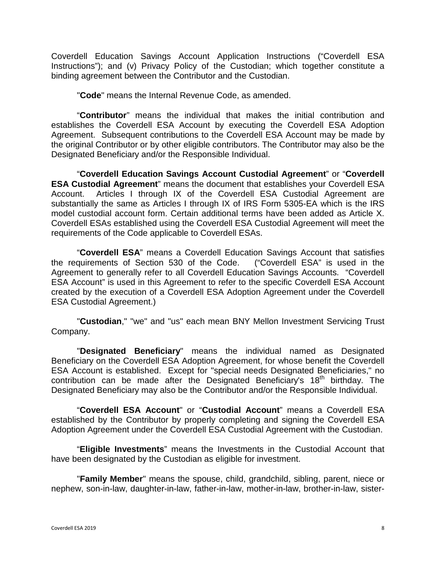Coverdell Education Savings Account Application Instructions ("Coverdell ESA Instructions"); and (v) Privacy Policy of the Custodian; which together constitute a binding agreement between the Contributor and the Custodian.

"**Code**" means the Internal Revenue Code, as amended.

"**Contributor**" means the individual that makes the initial contribution and establishes the Coverdell ESA Account by executing the Coverdell ESA Adoption Agreement. Subsequent contributions to the Coverdell ESA Account may be made by the original Contributor or by other eligible contributors. The Contributor may also be the Designated Beneficiary and/or the Responsible Individual.

"**Coverdell Education Savings Account Custodial Agreement**" or "**Coverdell ESA Custodial Agreement**" means the document that establishes your Coverdell ESA Account. Articles I through IX of the Coverdell ESA Custodial Agreement are substantially the same as Articles I through IX of IRS Form 5305-EA which is the IRS model custodial account form. Certain additional terms have been added as Article X. Coverdell ESAs established using the Coverdell ESA Custodial Agreement will meet the requirements of the Code applicable to Coverdell ESAs.

"**Coverdell ESA**" means a Coverdell Education Savings Account that satisfies the requirements of Section 530 of the Code. ("Coverdell ESA" is used in the Agreement to generally refer to all Coverdell Education Savings Accounts. "Coverdell ESA Account" is used in this Agreement to refer to the specific Coverdell ESA Account created by the execution of a Coverdell ESA Adoption Agreement under the Coverdell ESA Custodial Agreement.)

"**Custodian**," "we" and "us" each mean BNY Mellon Investment Servicing Trust Company.

"**Designated Beneficiary**" means the individual named as Designated Beneficiary on the Coverdell ESA Adoption Agreement, for whose benefit the Coverdell ESA Account is established. Except for "special needs Designated Beneficiaries," no contribution can be made after the Designated Beneficiary's  $18<sup>th</sup>$  birthday. The Designated Beneficiary may also be the Contributor and/or the Responsible Individual.

"**Coverdell ESA Account**" or "**Custodial Account**" means a Coverdell ESA established by the Contributor by properly completing and signing the Coverdell ESA Adoption Agreement under the Coverdell ESA Custodial Agreement with the Custodian.

"**Eligible Investments**" means the Investments in the Custodial Account that have been designated by the Custodian as eligible for investment.

"**Family Member**" means the spouse, child, grandchild, sibling, parent, niece or nephew, son-in-law, daughter-in-law, father-in-law, mother-in-law, brother-in-law, sister-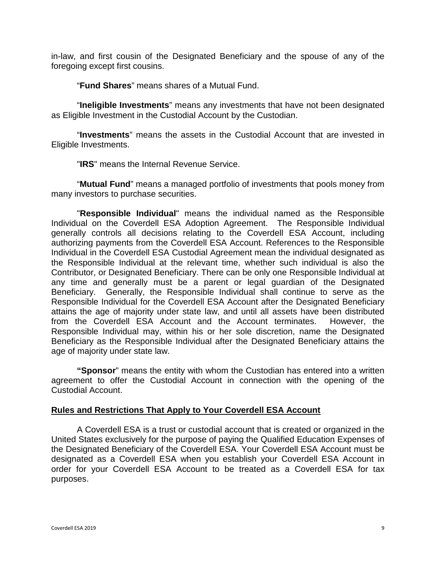in-law, and first cousin of the Designated Beneficiary and the spouse of any of the foregoing except first cousins.

"**Fund Shares**" means shares of a Mutual Fund.

"**Ineligible Investments**" means any investments that have not been designated as Eligible Investment in the Custodial Account by the Custodian.

"**Investments**" means the assets in the Custodial Account that are invested in Eligible Investments.

"**IRS**" means the Internal Revenue Service.

"**Mutual Fund**" means a managed portfolio of investments that pools money from many investors to purchase securities.

"**Responsible Individual**" means the individual named as the Responsible Individual on the Coverdell ESA Adoption Agreement. The Responsible Individual generally controls all decisions relating to the Coverdell ESA Account, including authorizing payments from the Coverdell ESA Account. References to the Responsible Individual in the Coverdell ESA Custodial Agreement mean the individual designated as the Responsible Individual at the relevant time, whether such individual is also the Contributor, or Designated Beneficiary. There can be only one Responsible Individual at any time and generally must be a parent or legal guardian of the Designated Beneficiary. Generally, the Responsible Individual shall continue to serve as the Responsible Individual for the Coverdell ESA Account after the Designated Beneficiary attains the age of majority under state law, and until all assets have been distributed from the Coverdell ESA Account and the Account terminates. However, the Responsible Individual may, within his or her sole discretion, name the Designated Beneficiary as the Responsible Individual after the Designated Beneficiary attains the age of majority under state law.

**"Sponsor**" means the entity with whom the Custodian has entered into a written agreement to offer the Custodial Account in connection with the opening of the Custodial Account.

#### **Rules and Restrictions That Apply to Your Coverdell ESA Account**

A Coverdell ESA is a trust or custodial account that is created or organized in the United States exclusively for the purpose of paying the Qualified Education Expenses of the Designated Beneficiary of the Coverdell ESA. Your Coverdell ESA Account must be designated as a Coverdell ESA when you establish your Coverdell ESA Account in order for your Coverdell ESA Account to be treated as a Coverdell ESA for tax purposes.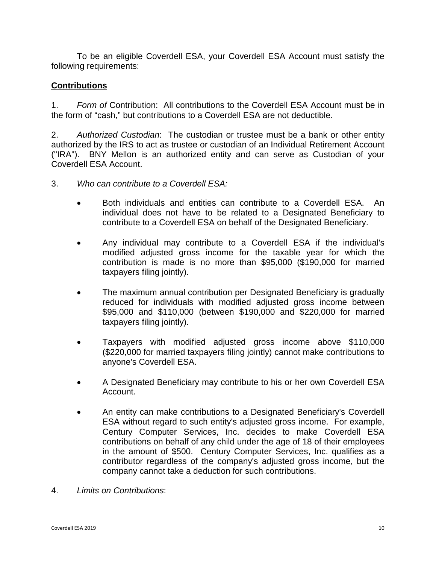To be an eligible Coverdell ESA, your Coverdell ESA Account must satisfy the following requirements:

#### **Contributions**

1. *Form of* Contribution: All contributions to the Coverdell ESA Account must be in the form of "cash," but contributions to a Coverdell ESA are not deductible.

2. *Authorized Custodian*: The custodian or trustee must be a bank or other entity authorized by the IRS to act as trustee or custodian of an Individual Retirement Account ("IRA"). BNY Mellon is an authorized entity and can serve as Custodian of your Coverdell ESA Account.

- 3. *Who can contribute to a Coverdell ESA:* 
	- Both individuals and entities can contribute to a Coverdell ESA. An individual does not have to be related to a Designated Beneficiary to contribute to a Coverdell ESA on behalf of the Designated Beneficiary.
	- Any individual may contribute to a Coverdell ESA if the individual's modified adjusted gross income for the taxable year for which the contribution is made is no more than \$95,000 (\$190,000 for married taxpayers filing jointly).
	- The maximum annual contribution per Designated Beneficiary is gradually reduced for individuals with modified adjusted gross income between \$95,000 and \$110,000 (between \$190,000 and \$220,000 for married taxpayers filing jointly).
	- Taxpayers with modified adjusted gross income above \$110,000 (\$220,000 for married taxpayers filing jointly) cannot make contributions to anyone's Coverdell ESA.
	- A Designated Beneficiary may contribute to his or her own Coverdell ESA Account.
	- An entity can make contributions to a Designated Beneficiary's Coverdell ESA without regard to such entity's adjusted gross income. For example, Century Computer Services, Inc. decides to make Coverdell ESA contributions on behalf of any child under the age of 18 of their employees in the amount of \$500. Century Computer Services, Inc. qualifies as a contributor regardless of the company's adjusted gross income, but the company cannot take a deduction for such contributions.
- 4. *Limits on Contributions*: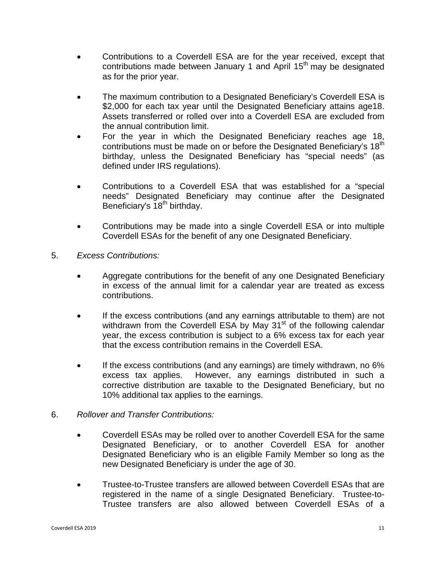- Contributions to a Coverdell ESA are for the year received, except that contributions made between January 1 and April 15<sup>th</sup> may be designated as for the prior year.
- The maximum contribution to a Designated Beneficiary's Coverdell ESA is \$2,000 for each tax year until the Designated Beneficiary attains age18. Assets transferred or rolled over into a Coverdell ESA are excluded from the annual contribution limit.
- For the year in which the Designated Beneficiary reaches age 18, contributions must be made on or before the Designated Beneficiary's 18<sup>th</sup> birthday, unless the Designated Beneficiary has "special needs" (as defined under IRS regulations).
- Contributions to a Coverdell ESA that was established for a "special needs" Designated Beneficiary may continue after the Designated Beneficiary's 18<sup>th</sup> birthday.
- Contributions may be made into a single Coverdell ESA or into multiple Coverdell ESAs for the benefit of any one Designated Beneficiary.
- 5. *Excess Contributions:*
	- Aggregate contributions for the benefit of any one Designated Beneficiary in excess of the annual limit for a calendar year are treated as excess contributions.
	- If the excess contributions (and any earnings attributable to them) are not withdrawn from the Coverdell ESA by May 31<sup>st</sup> of the following calendar year, the excess contribution is subject to a 6% excess tax for each year that the excess contribution remains in the Coverdell ESA.
	- If the excess contributions (and any earnings) are timely withdrawn, no 6% excess tax applies. However, any earnings distributed in such a corrective distribution are taxable to the Designated Beneficiary, but no 10% additional tax applies to the earnings.
- 6. *Rollover and Transfer Contributions:* 
	- Coverdell ESAs may be rolled over to another Coverdell ESA for the same Designated Beneficiary, or to another Coverdell ESA for another Designated Beneficiary who is an eligible Family Member so long as the new Designated Beneficiary is under the age of 30.
	- Trustee-to-Trustee transfers are allowed between Coverdell ESAs that are registered in the name of a single Designated Beneficiary. Trustee-to-Trustee transfers are also allowed between Coverdell ESAs of a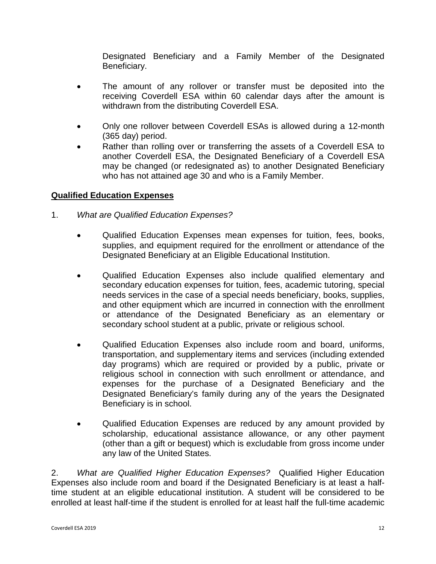Designated Beneficiary and a Family Member of the Designated Beneficiary.

- The amount of any rollover or transfer must be deposited into the receiving Coverdell ESA within 60 calendar days after the amount is withdrawn from the distributing Coverdell ESA.
- Only one rollover between Coverdell ESAs is allowed during a 12-month (365 day) period.
- Rather than rolling over or transferring the assets of a Coverdell ESA to another Coverdell ESA, the Designated Beneficiary of a Coverdell ESA may be changed (or redesignated as) to another Designated Beneficiary who has not attained age 30 and who is a Family Member.

#### **Qualified Education Expenses**

- 1. *What are Qualified Education Expenses?* 
	- Qualified Education Expenses mean expenses for tuition, fees, books, supplies, and equipment required for the enrollment or attendance of the Designated Beneficiary at an Eligible Educational Institution.
	- Qualified Education Expenses also include qualified elementary and secondary education expenses for tuition, fees, academic tutoring, special needs services in the case of a special needs beneficiary, books, supplies, and other equipment which are incurred in connection with the enrollment or attendance of the Designated Beneficiary as an elementary or secondary school student at a public, private or religious school.
	- Qualified Education Expenses also include room and board, uniforms, transportation, and supplementary items and services (including extended day programs) which are required or provided by a public, private or religious school in connection with such enrollment or attendance, and expenses for the purchase of a Designated Beneficiary and the Designated Beneficiary's family during any of the years the Designated Beneficiary is in school.
	- Qualified Education Expenses are reduced by any amount provided by scholarship, educational assistance allowance, or any other payment (other than a gift or bequest) which is excludable from gross income under any law of the United States.

2. *What are Qualified Higher Education Expenses?* Qualified Higher Education Expenses also include room and board if the Designated Beneficiary is at least a halftime student at an eligible educational institution. A student will be considered to be enrolled at least half-time if the student is enrolled for at least half the full-time academic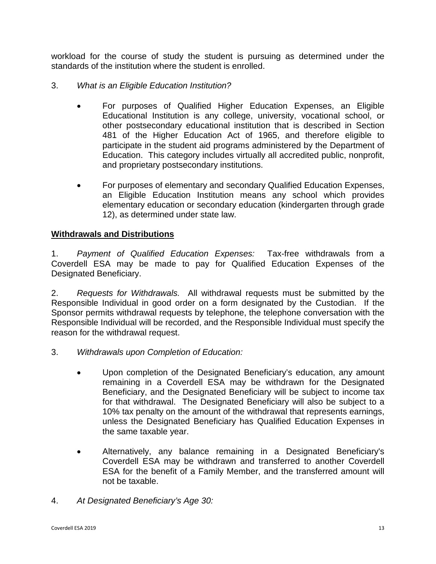workload for the course of study the student is pursuing as determined under the standards of the institution where the student is enrolled.

- 3. *What is an Eligible Education Institution?* 
	- For purposes of Qualified Higher Education Expenses, an Eligible Educational Institution is any college, university, vocational school, or other postsecondary educational institution that is described in Section 481 of the Higher Education Act of 1965, and therefore eligible to participate in the student aid programs administered by the Department of Education. This category includes virtually all accredited public, nonprofit, and proprietary postsecondary institutions.
	- For purposes of elementary and secondary Qualified Education Expenses, an Eligible Education Institution means any school which provides elementary education or secondary education (kindergarten through grade 12), as determined under state law.

#### **Withdrawals and Distributions**

1. *Payment of Qualified Education Expenses:* Tax-free withdrawals from a Coverdell ESA may be made to pay for Qualified Education Expenses of the Designated Beneficiary.

2. *Requests for Withdrawals.* All withdrawal requests must be submitted by the Responsible Individual in good order on a form designated by the Custodian. If the Sponsor permits withdrawal requests by telephone, the telephone conversation with the Responsible Individual will be recorded, and the Responsible Individual must specify the reason for the withdrawal request.

- 3. *Withdrawals upon Completion of Education:* 
	- Upon completion of the Designated Beneficiary's education, any amount remaining in a Coverdell ESA may be withdrawn for the Designated Beneficiary, and the Designated Beneficiary will be subject to income tax for that withdrawal. The Designated Beneficiary will also be subject to a 10% tax penalty on the amount of the withdrawal that represents earnings, unless the Designated Beneficiary has Qualified Education Expenses in the same taxable year.
	- Alternatively, any balance remaining in a Designated Beneficiary's Coverdell ESA may be withdrawn and transferred to another Coverdell ESA for the benefit of a Family Member, and the transferred amount will not be taxable.
- 4. *At Designated Beneficiary's Age 30:*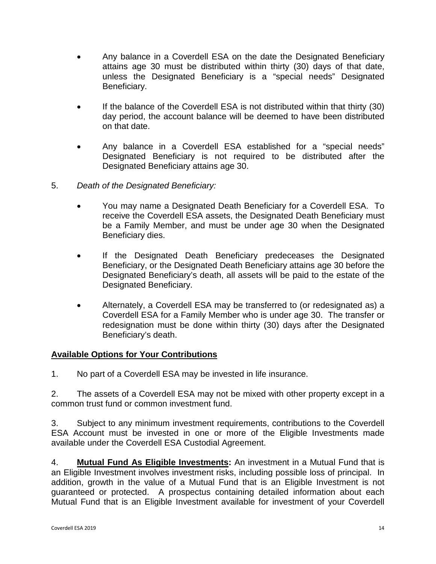- Any balance in a Coverdell ESA on the date the Designated Beneficiary attains age 30 must be distributed within thirty (30) days of that date, unless the Designated Beneficiary is a "special needs" Designated Beneficiary.
- If the balance of the Coverdell ESA is not distributed within that thirty (30) day period, the account balance will be deemed to have been distributed on that date.
- Any balance in a Coverdell ESA established for a "special needs" Designated Beneficiary is not required to be distributed after the Designated Beneficiary attains age 30.
- 5. *Death of the Designated Beneficiary:*
	- You may name a Designated Death Beneficiary for a Coverdell ESA. To receive the Coverdell ESA assets, the Designated Death Beneficiary must be a Family Member, and must be under age 30 when the Designated Beneficiary dies.
	- If the Designated Death Beneficiary predeceases the Designated Beneficiary, or the Designated Death Beneficiary attains age 30 before the Designated Beneficiary's death, all assets will be paid to the estate of the Designated Beneficiary.
	- Alternately, a Coverdell ESA may be transferred to (or redesignated as) a Coverdell ESA for a Family Member who is under age 30. The transfer or redesignation must be done within thirty (30) days after the Designated Beneficiary's death.

#### **Available Options for Your Contributions**

1. No part of a Coverdell ESA may be invested in life insurance.

2. The assets of a Coverdell ESA may not be mixed with other property except in a common trust fund or common investment fund.

3. Subject to any minimum investment requirements, contributions to the Coverdell ESA Account must be invested in one or more of the Eligible Investments made available under the Coverdell ESA Custodial Agreement.

4. **Mutual Fund As Eligible Investments:** An investment in a Mutual Fund that is an Eligible Investment involves investment risks, including possible loss of principal. In addition, growth in the value of a Mutual Fund that is an Eligible Investment is not guaranteed or protected. A prospectus containing detailed information about each Mutual Fund that is an Eligible Investment available for investment of your Coverdell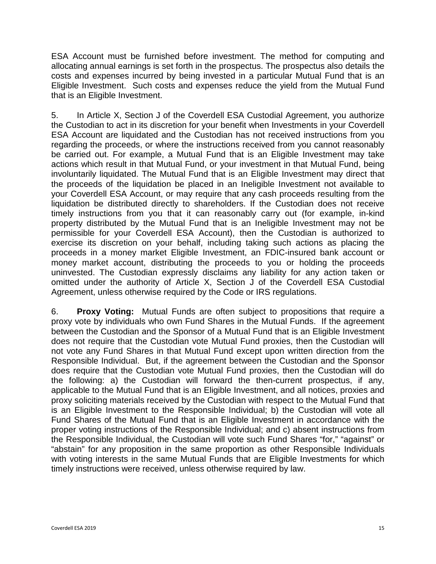ESA Account must be furnished before investment. The method for computing and allocating annual earnings is set forth in the prospectus. The prospectus also details the costs and expenses incurred by being invested in a particular Mutual Fund that is an Eligible Investment. Such costs and expenses reduce the yield from the Mutual Fund that is an Eligible Investment.

5. In Article X, Section J of the Coverdell ESA Custodial Agreement, you authorize the Custodian to act in its discretion for your benefit when Investments in your Coverdell ESA Account are liquidated and the Custodian has not received instructions from you regarding the proceeds, or where the instructions received from you cannot reasonably be carried out. For example, a Mutual Fund that is an Eligible Investment may take actions which result in that Mutual Fund, or your investment in that Mutual Fund, being involuntarily liquidated. The Mutual Fund that is an Eligible Investment may direct that the proceeds of the liquidation be placed in an Ineligible Investment not available to your Coverdell ESA Account, or may require that any cash proceeds resulting from the liquidation be distributed directly to shareholders. If the Custodian does not receive timely instructions from you that it can reasonably carry out (for example, in-kind property distributed by the Mutual Fund that is an Ineligible Investment may not be permissible for your Coverdell ESA Account), then the Custodian is authorized to exercise its discretion on your behalf, including taking such actions as placing the proceeds in a money market Eligible Investment, an FDIC-insured bank account or money market account, distributing the proceeds to you or holding the proceeds uninvested. The Custodian expressly disclaims any liability for any action taken or omitted under the authority of Article X, Section J of the Coverdell ESA Custodial Agreement, unless otherwise required by the Code or IRS regulations.

6. **Proxy Voting:** Mutual Funds are often subject to propositions that require a proxy vote by individuals who own Fund Shares in the Mutual Funds. If the agreement between the Custodian and the Sponsor of a Mutual Fund that is an Eligible Investment does not require that the Custodian vote Mutual Fund proxies, then the Custodian will not vote any Fund Shares in that Mutual Fund except upon written direction from the Responsible Individual. But, if the agreement between the Custodian and the Sponsor does require that the Custodian vote Mutual Fund proxies, then the Custodian will do the following: a) the Custodian will forward the then-current prospectus, if any, applicable to the Mutual Fund that is an Eligible Investment, and all notices, proxies and proxy soliciting materials received by the Custodian with respect to the Mutual Fund that is an Eligible Investment to the Responsible Individual; b) the Custodian will vote all Fund Shares of the Mutual Fund that is an Eligible Investment in accordance with the proper voting instructions of the Responsible Individual; and c) absent instructions from the Responsible Individual, the Custodian will vote such Fund Shares "for," "against" or "abstain" for any proposition in the same proportion as other Responsible Individuals with voting interests in the same Mutual Funds that are Eligible Investments for which timely instructions were received, unless otherwise required by law.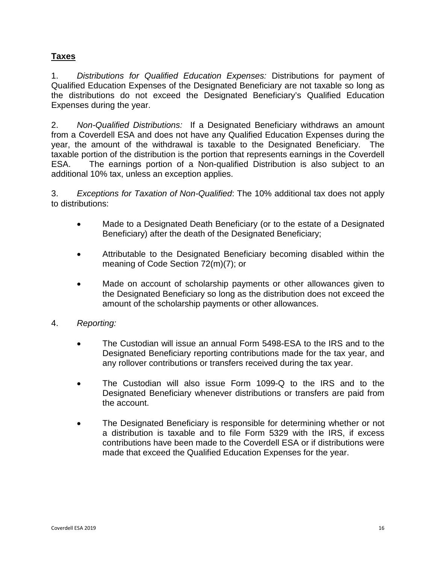# **Taxes**

1. *Distributions for Qualified Education Expenses:* Distributions for payment of Qualified Education Expenses of the Designated Beneficiary are not taxable so long as the distributions do not exceed the Designated Beneficiary's Qualified Education Expenses during the year.

2. *Non-Qualified Distributions:* If a Designated Beneficiary withdraws an amount from a Coverdell ESA and does not have any Qualified Education Expenses during the year, the amount of the withdrawal is taxable to the Designated Beneficiary. The taxable portion of the distribution is the portion that represents earnings in the Coverdell ESA. The earnings portion of a Non-qualified Distribution is also subject to an additional 10% tax, unless an exception applies.

3. *Exceptions for Taxation of Non-Qualified*: The 10% additional tax does not apply to distributions:

- Made to a Designated Death Beneficiary (or to the estate of a Designated Beneficiary) after the death of the Designated Beneficiary;
- Attributable to the Designated Beneficiary becoming disabled within the meaning of Code Section 72(m)(7); or
- Made on account of scholarship payments or other allowances given to the Designated Beneficiary so long as the distribution does not exceed the amount of the scholarship payments or other allowances.
- 4. *Reporting:*
	- The Custodian will issue an annual Form 5498-ESA to the IRS and to the Designated Beneficiary reporting contributions made for the tax year, and any rollover contributions or transfers received during the tax year.
	- The Custodian will also issue Form 1099-Q to the IRS and to the Designated Beneficiary whenever distributions or transfers are paid from the account.
	- The Designated Beneficiary is responsible for determining whether or not a distribution is taxable and to file Form 5329 with the IRS, if excess contributions have been made to the Coverdell ESA or if distributions were made that exceed the Qualified Education Expenses for the year.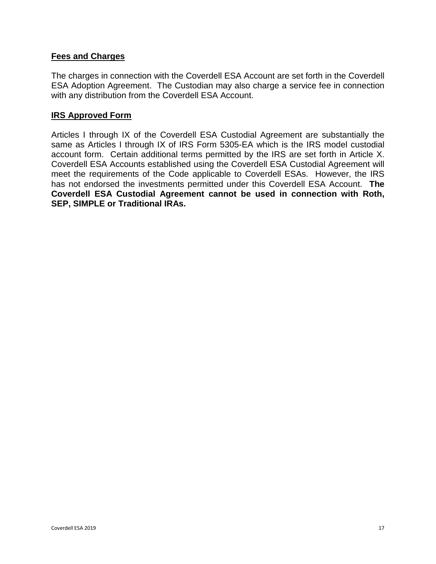#### **Fees and Charges**

The charges in connection with the Coverdell ESA Account are set forth in the Coverdell ESA Adoption Agreement. The Custodian may also charge a service fee in connection with any distribution from the Coverdell ESA Account.

#### **IRS Approved Form**

Articles I through IX of the Coverdell ESA Custodial Agreement are substantially the same as Articles I through IX of IRS Form 5305-EA which is the IRS model custodial account form. Certain additional terms permitted by the IRS are set forth in Article X. Coverdell ESA Accounts established using the Coverdell ESA Custodial Agreement will meet the requirements of the Code applicable to Coverdell ESAs. However, the IRS has not endorsed the investments permitted under this Coverdell ESA Account. **The Coverdell ESA Custodial Agreement cannot be used in connection with Roth, SEP, SIMPLE or Traditional IRAs.**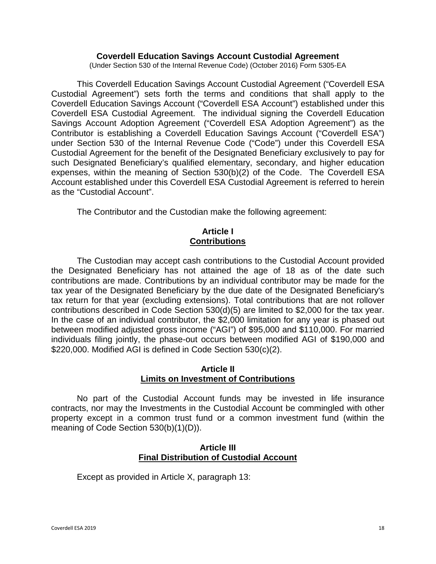#### **Coverdell Education Savings Account Custodial Agreement**

(Under Section 530 of the Internal Revenue Code) (October 2016) Form 5305-EA

<span id="page-17-0"></span>This Coverdell Education Savings Account Custodial Agreement ("Coverdell ESA Custodial Agreement") sets forth the terms and conditions that shall apply to the Coverdell Education Savings Account ("Coverdell ESA Account") established under this Coverdell ESA Custodial Agreement. The individual signing the Coverdell Education Savings Account Adoption Agreement ("Coverdell ESA Adoption Agreement") as the Contributor is establishing a Coverdell Education Savings Account ("Coverdell ESA") under Section 530 of the Internal Revenue Code ("Code") under this Coverdell ESA Custodial Agreement for the benefit of the Designated Beneficiary exclusively to pay for such Designated Beneficiary's qualified elementary, secondary, and higher education expenses, within the meaning of Section 530(b)(2) of the Code. The Coverdell ESA Account established under this Coverdell ESA Custodial Agreement is referred to herein as the "Custodial Account".

The Contributor and the Custodian make the following agreement:

#### **Article I Contributions**

The Custodian may accept cash contributions to the Custodial Account provided the Designated Beneficiary has not attained the age of 18 as of the date such contributions are made. Contributions by an individual contributor may be made for the tax year of the Designated Beneficiary by the due date of the Designated Beneficiary's tax return for that year (excluding extensions). Total contributions that are not rollover contributions described in Code Section 530(d)(5) are limited to \$2,000 for the tax year. In the case of an individual contributor, the \$2,000 limitation for any year is phased out between modified adjusted gross income ("AGI") of \$95,000 and \$110,000. For married individuals filing jointly, the phase-out occurs between modified AGI of \$190,000 and \$220,000. Modified AGI is defined in Code Section 530(c)(2).

#### **Article II Limits on Investment of Contributions**

No part of the Custodial Account funds may be invested in life insurance contracts, nor may the Investments in the Custodial Account be commingled with other property except in a common trust fund or a common investment fund (within the meaning of Code Section 530(b)(1)(D)).

#### **Article III Final Distribution of Custodial Account**

Except as provided in Article X, paragraph 13: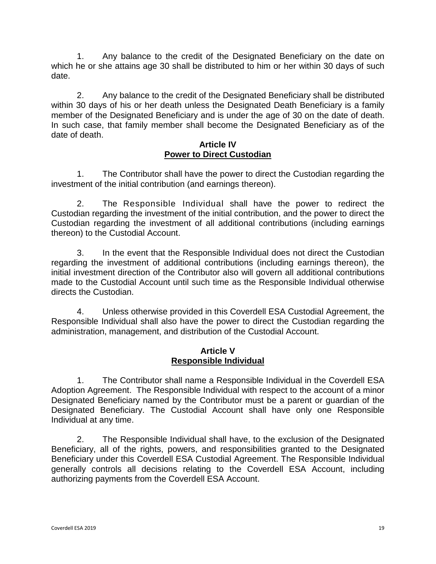1. Any balance to the credit of the Designated Beneficiary on the date on which he or she attains age 30 shall be distributed to him or her within 30 days of such date.

2. Any balance to the credit of the Designated Beneficiary shall be distributed within 30 days of his or her death unless the Designated Death Beneficiary is a family member of the Designated Beneficiary and is under the age of 30 on the date of death. In such case, that family member shall become the Designated Beneficiary as of the date of death.

#### **Article IV Power to Direct Custodian**

1. The Contributor shall have the power to direct the Custodian regarding the investment of the initial contribution (and earnings thereon).

2. The Responsible Individual shall have the power to redirect the Custodian regarding the investment of the initial contribution, and the power to direct the Custodian regarding the investment of all additional contributions (including earnings thereon) to the Custodial Account.

3. In the event that the Responsible Individual does not direct the Custodian regarding the investment of additional contributions (including earnings thereon), the initial investment direction of the Contributor also will govern all additional contributions made to the Custodial Account until such time as the Responsible Individual otherwise directs the Custodian.

4. Unless otherwise provided in this Coverdell ESA Custodial Agreement, the Responsible Individual shall also have the power to direct the Custodian regarding the administration, management, and distribution of the Custodial Account.

## **Article V Responsible Individual**

1. The Contributor shall name a Responsible Individual in the Coverdell ESA Adoption Agreement. The Responsible Individual with respect to the account of a minor Designated Beneficiary named by the Contributor must be a parent or guardian of the Designated Beneficiary. The Custodial Account shall have only one Responsible Individual at any time.

2. The Responsible Individual shall have, to the exclusion of the Designated Beneficiary, all of the rights, powers, and responsibilities granted to the Designated Beneficiary under this Coverdell ESA Custodial Agreement. The Responsible Individual generally controls all decisions relating to the Coverdell ESA Account, including authorizing payments from the Coverdell ESA Account.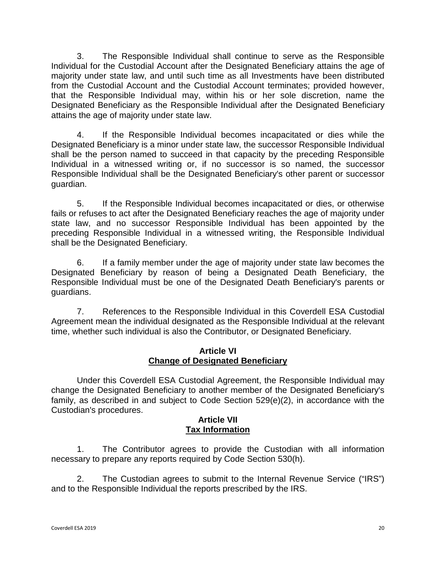3. The Responsible Individual shall continue to serve as the Responsible Individual for the Custodial Account after the Designated Beneficiary attains the age of majority under state law, and until such time as all Investments have been distributed from the Custodial Account and the Custodial Account terminates; provided however, that the Responsible Individual may, within his or her sole discretion, name the Designated Beneficiary as the Responsible Individual after the Designated Beneficiary attains the age of majority under state law.

4. If the Responsible Individual becomes incapacitated or dies while the Designated Beneficiary is a minor under state law, the successor Responsible Individual shall be the person named to succeed in that capacity by the preceding Responsible Individual in a witnessed writing or, if no successor is so named, the successor Responsible Individual shall be the Designated Beneficiary's other parent or successor guardian.

5. If the Responsible Individual becomes incapacitated or dies, or otherwise fails or refuses to act after the Designated Beneficiary reaches the age of majority under state law, and no successor Responsible Individual has been appointed by the preceding Responsible Individual in a witnessed writing, the Responsible Individual shall be the Designated Beneficiary.

6. If a family member under the age of majority under state law becomes the Designated Beneficiary by reason of being a Designated Death Beneficiary, the Responsible Individual must be one of the Designated Death Beneficiary's parents or guardians.

7. References to the Responsible Individual in this Coverdell ESA Custodial Agreement mean the individual designated as the Responsible Individual at the relevant time, whether such individual is also the Contributor, or Designated Beneficiary.

#### **Article VI Change of Designated Beneficiary**

Under this Coverdell ESA Custodial Agreement, the Responsible Individual may change the Designated Beneficiary to another member of the Designated Beneficiary's family, as described in and subject to Code Section 529(e)(2), in accordance with the Custodian's procedures.

#### **Article VII Tax Information**

1. The Contributor agrees to provide the Custodian with all information necessary to prepare any reports required by Code Section 530(h).

2. The Custodian agrees to submit to the Internal Revenue Service ("IRS") and to the Responsible Individual the reports prescribed by the IRS.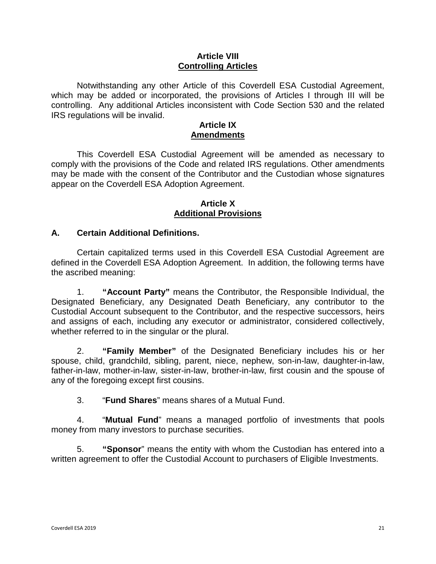#### **Article VIII Controlling Articles**

Notwithstanding any other Article of this Coverdell ESA Custodial Agreement, which may be added or incorporated, the provisions of Articles I through III will be controlling. Any additional Articles inconsistent with Code Section 530 and the related IRS regulations will be invalid.

#### **Article IX Amendments**

This Coverdell ESA Custodial Agreement will be amended as necessary to comply with the provisions of the Code and related IRS regulations. Other amendments may be made with the consent of the Contributor and the Custodian whose signatures appear on the Coverdell ESA Adoption Agreement.

#### **Article X Additional Provisions**

## **A. Certain Additional Definitions.**

Certain capitalized terms used in this Coverdell ESA Custodial Agreement are defined in the Coverdell ESA Adoption Agreement. In addition, the following terms have the ascribed meaning:

1. **"Account Party"** means the Contributor, the Responsible Individual, the Designated Beneficiary, any Designated Death Beneficiary, any contributor to the Custodial Account subsequent to the Contributor, and the respective successors, heirs and assigns of each, including any executor or administrator, considered collectively, whether referred to in the singular or the plural.

2. **"Family Member"** of the Designated Beneficiary includes his or her spouse, child, grandchild, sibling, parent, niece, nephew, son-in-law, daughter-in-law, father-in-law, mother-in-law, sister-in-law, brother-in-law, first cousin and the spouse of any of the foregoing except first cousins.

3. "**Fund Shares**" means shares of a Mutual Fund.

4. "**Mutual Fund**" means a managed portfolio of investments that pools money from many investors to purchase securities.

5. **"Sponsor**" means the entity with whom the Custodian has entered into a written agreement to offer the Custodial Account to purchasers of Eligible Investments.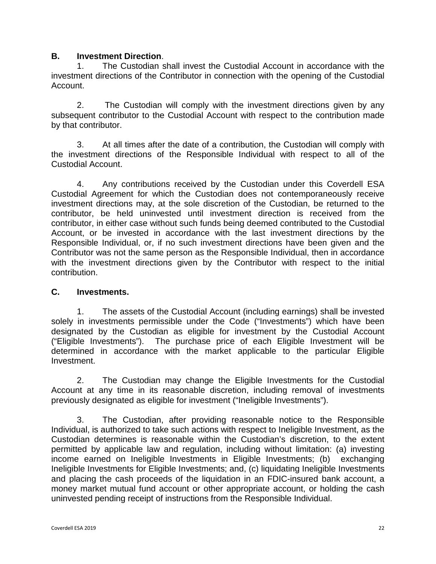### **B. Investment Direction**.

1. The Custodian shall invest the Custodial Account in accordance with the investment directions of the Contributor in connection with the opening of the Custodial Account.

2. The Custodian will comply with the investment directions given by any subsequent contributor to the Custodial Account with respect to the contribution made by that contributor.

3. At all times after the date of a contribution, the Custodian will comply with the investment directions of the Responsible Individual with respect to all of the Custodial Account.

4. Any contributions received by the Custodian under this Coverdell ESA Custodial Agreement for which the Custodian does not contemporaneously receive investment directions may, at the sole discretion of the Custodian, be returned to the contributor, be held uninvested until investment direction is received from the contributor, in either case without such funds being deemed contributed to the Custodial Account, or be invested in accordance with the last investment directions by the Responsible Individual, or, if no such investment directions have been given and the Contributor was not the same person as the Responsible Individual, then in accordance with the investment directions given by the Contributor with respect to the initial contribution.

#### **C. Investments.**

1. The assets of the Custodial Account (including earnings) shall be invested solely in investments permissible under the Code ("Investments") which have been designated by the Custodian as eligible for investment by the Custodial Account ("Eligible Investments"). The purchase price of each Eligible Investment will be determined in accordance with the market applicable to the particular Eligible Investment.

2. The Custodian may change the Eligible Investments for the Custodial Account at any time in its reasonable discretion, including removal of investments previously designated as eligible for investment ("Ineligible Investments").

3. The Custodian, after providing reasonable notice to the Responsible Individual, is authorized to take such actions with respect to Ineligible Investment, as the Custodian determines is reasonable within the Custodian's discretion, to the extent permitted by applicable law and regulation, including without limitation: (a) investing income earned on Ineligible Investments in Eligible Investments; (b) exchanging Ineligible Investments for Eligible Investments; and, (c) liquidating Ineligible Investments and placing the cash proceeds of the liquidation in an FDIC-insured bank account, a money market mutual fund account or other appropriate account, or holding the cash uninvested pending receipt of instructions from the Responsible Individual.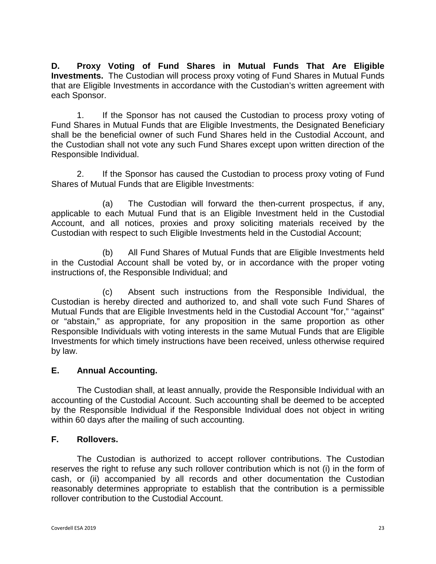**D. Proxy Voting of Fund Shares in Mutual Funds That Are Eligible Investments.** The Custodian will process proxy voting of Fund Shares in Mutual Funds that are Eligible Investments in accordance with the Custodian's written agreement with each Sponsor.

1. If the Sponsor has not caused the Custodian to process proxy voting of Fund Shares in Mutual Funds that are Eligible Investments, the Designated Beneficiary shall be the beneficial owner of such Fund Shares held in the Custodial Account, and the Custodian shall not vote any such Fund Shares except upon written direction of the Responsible Individual.

2. If the Sponsor has caused the Custodian to process proxy voting of Fund Shares of Mutual Funds that are Eligible Investments:

(a) The Custodian will forward the then-current prospectus, if any, applicable to each Mutual Fund that is an Eligible Investment held in the Custodial Account, and all notices, proxies and proxy soliciting materials received by the Custodian with respect to such Eligible Investments held in the Custodial Account;

(b) All Fund Shares of Mutual Funds that are Eligible Investments held in the Custodial Account shall be voted by, or in accordance with the proper voting instructions of, the Responsible Individual; and

(c) Absent such instructions from the Responsible Individual, the Custodian is hereby directed and authorized to, and shall vote such Fund Shares of Mutual Funds that are Eligible Investments held in the Custodial Account "for," "against" or "abstain," as appropriate, for any proposition in the same proportion as other Responsible Individuals with voting interests in the same Mutual Funds that are Eligible Investments for which timely instructions have been received, unless otherwise required by law.

# **E. Annual Accounting.**

The Custodian shall, at least annually, provide the Responsible Individual with an accounting of the Custodial Account. Such accounting shall be deemed to be accepted by the Responsible Individual if the Responsible Individual does not object in writing within 60 days after the mailing of such accounting.

### **F. Rollovers.**

The Custodian is authorized to accept rollover contributions. The Custodian reserves the right to refuse any such rollover contribution which is not (i) in the form of cash, or (ii) accompanied by all records and other documentation the Custodian reasonably determines appropriate to establish that the contribution is a permissible rollover contribution to the Custodial Account.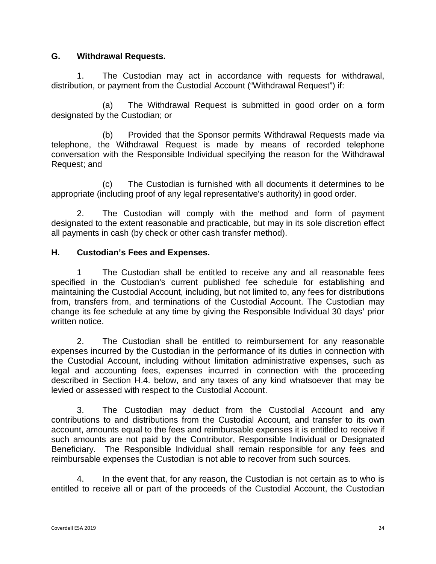## **G. Withdrawal Requests.**

1. The Custodian may act in accordance with requests for withdrawal, distribution, or payment from the Custodial Account ("Withdrawal Request") if:

(a) The Withdrawal Request is submitted in good order on a form designated by the Custodian; or

(b) Provided that the Sponsor permits Withdrawal Requests made via telephone, the Withdrawal Request is made by means of recorded telephone conversation with the Responsible Individual specifying the reason for the Withdrawal Request; and

(c) The Custodian is furnished with all documents it determines to be appropriate (including proof of any legal representative's authority) in good order.

2. The Custodian will comply with the method and form of payment designated to the extent reasonable and practicable, but may in its sole discretion effect all payments in cash (by check or other cash transfer method).

## **H. Custodian's Fees and Expenses.**

1 The Custodian shall be entitled to receive any and all reasonable fees specified in the Custodian's current published fee schedule for establishing and maintaining the Custodial Account, including, but not limited to, any fees for distributions from, transfers from, and terminations of the Custodial Account. The Custodian may change its fee schedule at any time by giving the Responsible Individual 30 days' prior written notice.

2. The Custodian shall be entitled to reimbursement for any reasonable expenses incurred by the Custodian in the performance of its duties in connection with the Custodial Account, including without limitation administrative expenses, such as legal and accounting fees, expenses incurred in connection with the proceeding described in Section H.4. below, and any taxes of any kind whatsoever that may be levied or assessed with respect to the Custodial Account.

3. The Custodian may deduct from the Custodial Account and any contributions to and distributions from the Custodial Account, and transfer to its own account, amounts equal to the fees and reimbursable expenses it is entitled to receive if such amounts are not paid by the Contributor, Responsible Individual or Designated Beneficiary. The Responsible Individual shall remain responsible for any fees and reimbursable expenses the Custodian is not able to recover from such sources.

4. In the event that, for any reason, the Custodian is not certain as to who is entitled to receive all or part of the proceeds of the Custodial Account, the Custodian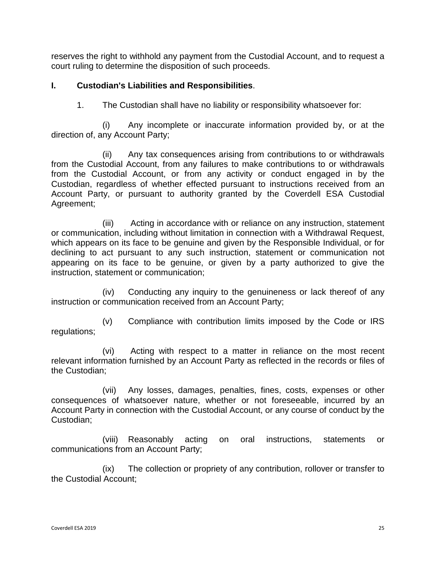reserves the right to withhold any payment from the Custodial Account, and to request a court ruling to determine the disposition of such proceeds.

### **I. Custodian's Liabilities and Responsibilities**.

1. The Custodian shall have no liability or responsibility whatsoever for:

(i) Any incomplete or inaccurate information provided by, or at the direction of, any Account Party;

(ii) Any tax consequences arising from contributions to or withdrawals from the Custodial Account, from any failures to make contributions to or withdrawals from the Custodial Account, or from any activity or conduct engaged in by the Custodian, regardless of whether effected pursuant to instructions received from an Account Party, or pursuant to authority granted by the Coverdell ESA Custodial Agreement;

(iii) Acting in accordance with or reliance on any instruction, statement or communication, including without limitation in connection with a Withdrawal Request, which appears on its face to be genuine and given by the Responsible Individual, or for declining to act pursuant to any such instruction, statement or communication not appearing on its face to be genuine, or given by a party authorized to give the instruction, statement or communication;

(iv) Conducting any inquiry to the genuineness or lack thereof of any instruction or communication received from an Account Party;

(v) Compliance with contribution limits imposed by the Code or IRS regulations;

(vi) Acting with respect to a matter in reliance on the most recent relevant information furnished by an Account Party as reflected in the records or files of the Custodian;

(vii) Any losses, damages, penalties, fines, costs, expenses or other consequences of whatsoever nature, whether or not foreseeable, incurred by an Account Party in connection with the Custodial Account, or any course of conduct by the Custodian;

(viii) Reasonably acting on oral instructions, statements or communications from an Account Party;

(ix) The collection or propriety of any contribution, rollover or transfer to the Custodial Account;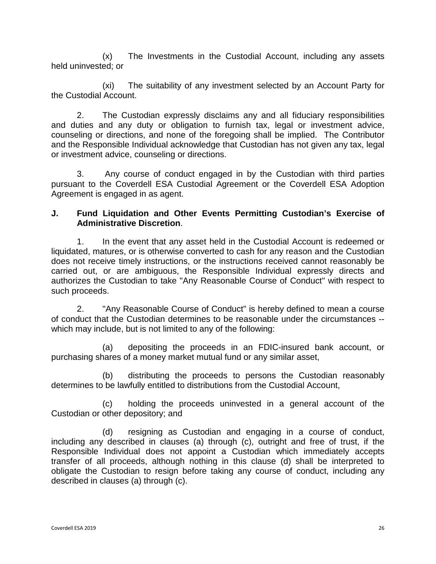(x) The Investments in the Custodial Account, including any assets held uninvested; or

(xi) The suitability of any investment selected by an Account Party for the Custodial Account.

2. The Custodian expressly disclaims any and all fiduciary responsibilities and duties and any duty or obligation to furnish tax, legal or investment advice, counseling or directions, and none of the foregoing shall be implied. The Contributor and the Responsible Individual acknowledge that Custodian has not given any tax, legal or investment advice, counseling or directions.

3. Any course of conduct engaged in by the Custodian with third parties pursuant to the Coverdell ESA Custodial Agreement or the Coverdell ESA Adoption Agreement is engaged in as agent.

## **J. Fund Liquidation and Other Events Permitting Custodian's Exercise of Administrative Discretion**.

1. In the event that any asset held in the Custodial Account is redeemed or liquidated, matures, or is otherwise converted to cash for any reason and the Custodian does not receive timely instructions, or the instructions received cannot reasonably be carried out, or are ambiguous, the Responsible Individual expressly directs and authorizes the Custodian to take "Any Reasonable Course of Conduct" with respect to such proceeds.

2. "Any Reasonable Course of Conduct" is hereby defined to mean a course of conduct that the Custodian determines to be reasonable under the circumstances - which may include, but is not limited to any of the following:

(a) depositing the proceeds in an FDIC-insured bank account, or purchasing shares of a money market mutual fund or any similar asset,

(b) distributing the proceeds to persons the Custodian reasonably determines to be lawfully entitled to distributions from the Custodial Account,

(c) holding the proceeds uninvested in a general account of the Custodian or other depository; and

(d) resigning as Custodian and engaging in a course of conduct, including any described in clauses (a) through (c), outright and free of trust, if the Responsible Individual does not appoint a Custodian which immediately accepts transfer of all proceeds, although nothing in this clause (d) shall be interpreted to obligate the Custodian to resign before taking any course of conduct, including any described in clauses (a) through (c).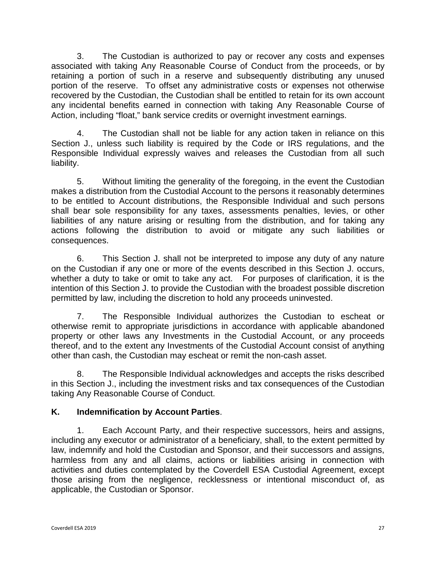3. The Custodian is authorized to pay or recover any costs and expenses associated with taking Any Reasonable Course of Conduct from the proceeds, or by retaining a portion of such in a reserve and subsequently distributing any unused portion of the reserve. To offset any administrative costs or expenses not otherwise recovered by the Custodian, the Custodian shall be entitled to retain for its own account any incidental benefits earned in connection with taking Any Reasonable Course of Action, including "float," bank service credits or overnight investment earnings.

4. The Custodian shall not be liable for any action taken in reliance on this Section J., unless such liability is required by the Code or IRS regulations, and the Responsible Individual expressly waives and releases the Custodian from all such liability.

5. Without limiting the generality of the foregoing, in the event the Custodian makes a distribution from the Custodial Account to the persons it reasonably determines to be entitled to Account distributions, the Responsible Individual and such persons shall bear sole responsibility for any taxes, assessments penalties, levies, or other liabilities of any nature arising or resulting from the distribution, and for taking any actions following the distribution to avoid or mitigate any such liabilities or consequences.

6. This Section J. shall not be interpreted to impose any duty of any nature on the Custodian if any one or more of the events described in this Section J. occurs, whether a duty to take or omit to take any act. For purposes of clarification, it is the intention of this Section J. to provide the Custodian with the broadest possible discretion permitted by law, including the discretion to hold any proceeds uninvested.

7. The Responsible Individual authorizes the Custodian to escheat or otherwise remit to appropriate jurisdictions in accordance with applicable abandoned property or other laws any Investments in the Custodial Account, or any proceeds thereof, and to the extent any Investments of the Custodial Account consist of anything other than cash, the Custodian may escheat or remit the non-cash asset.

8. The Responsible Individual acknowledges and accepts the risks described in this Section J., including the investment risks and tax consequences of the Custodian taking Any Reasonable Course of Conduct.

# **K. Indemnification by Account Parties**.

1. Each Account Party, and their respective successors, heirs and assigns, including any executor or administrator of a beneficiary, shall, to the extent permitted by law, indemnify and hold the Custodian and Sponsor, and their successors and assigns, harmless from any and all claims, actions or liabilities arising in connection with activities and duties contemplated by the Coverdell ESA Custodial Agreement, except those arising from the negligence, recklessness or intentional misconduct of, as applicable, the Custodian or Sponsor.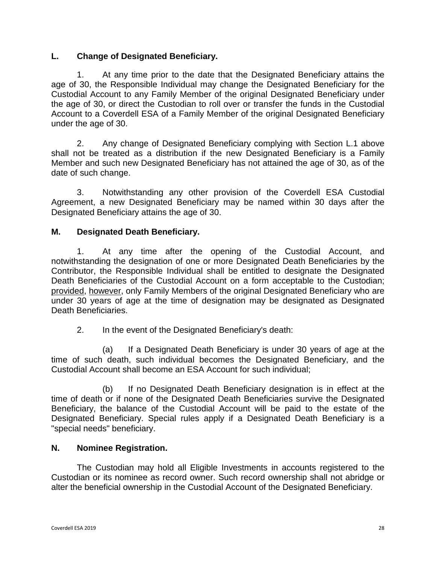## **L. Change of Designated Beneficiary.**

1. At any time prior to the date that the Designated Beneficiary attains the age of 30, the Responsible Individual may change the Designated Beneficiary for the Custodial Account to any Family Member of the original Designated Beneficiary under the age of 30, or direct the Custodian to roll over or transfer the funds in the Custodial Account to a Coverdell ESA of a Family Member of the original Designated Beneficiary under the age of 30.

2. Any change of Designated Beneficiary complying with Section L.1 above shall not be treated as a distribution if the new Designated Beneficiary is a Family Member and such new Designated Beneficiary has not attained the age of 30, as of the date of such change.

3. Notwithstanding any other provision of the Coverdell ESA Custodial Agreement, a new Designated Beneficiary may be named within 30 days after the Designated Beneficiary attains the age of 30.

# **M. Designated Death Beneficiary.**

1. At any time after the opening of the Custodial Account, and notwithstanding the designation of one or more Designated Death Beneficiaries by the Contributor, the Responsible Individual shall be entitled to designate the Designated Death Beneficiaries of the Custodial Account on a form acceptable to the Custodian; provided, however, only Family Members of the original Designated Beneficiary who are under 30 years of age at the time of designation may be designated as Designated Death Beneficiaries.

2. In the event of the Designated Beneficiary's death:

(a) If a Designated Death Beneficiary is under 30 years of age at the time of such death, such individual becomes the Designated Beneficiary, and the Custodial Account shall become an ESA Account for such individual;

(b) If no Designated Death Beneficiary designation is in effect at the time of death or if none of the Designated Death Beneficiaries survive the Designated Beneficiary, the balance of the Custodial Account will be paid to the estate of the Designated Beneficiary. Special rules apply if a Designated Death Beneficiary is a "special needs" beneficiary.

#### **N. Nominee Registration.**

The Custodian may hold all Eligible Investments in accounts registered to the Custodian or its nominee as record owner. Such record ownership shall not abridge or alter the beneficial ownership in the Custodial Account of the Designated Beneficiary.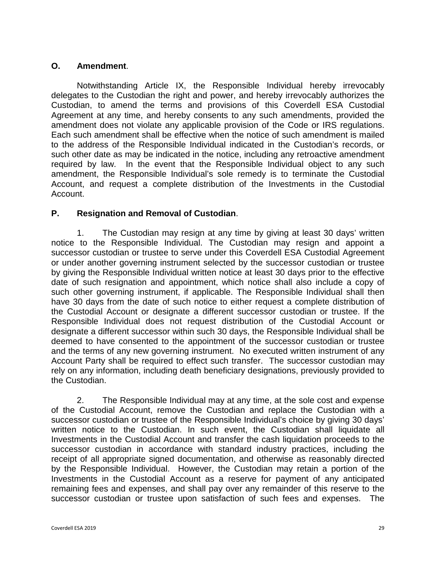### **O. Amendment**.

Notwithstanding Article IX, the Responsible Individual hereby irrevocably delegates to the Custodian the right and power, and hereby irrevocably authorizes the Custodian, to amend the terms and provisions of this Coverdell ESA Custodial Agreement at any time, and hereby consents to any such amendments, provided the amendment does not violate any applicable provision of the Code or IRS regulations. Each such amendment shall be effective when the notice of such amendment is mailed to the address of the Responsible Individual indicated in the Custodian's records, or such other date as may be indicated in the notice, including any retroactive amendment required by law. In the event that the Responsible Individual object to any such amendment, the Responsible Individual's sole remedy is to terminate the Custodial Account, and request a complete distribution of the Investments in the Custodial Account.

## **P. Resignation and Removal of Custodian**.

1. The Custodian may resign at any time by giving at least 30 days' written notice to the Responsible Individual. The Custodian may resign and appoint a successor custodian or trustee to serve under this Coverdell ESA Custodial Agreement or under another governing instrument selected by the successor custodian or trustee by giving the Responsible Individual written notice at least 30 days prior to the effective date of such resignation and appointment, which notice shall also include a copy of such other governing instrument, if applicable. The Responsible Individual shall then have 30 days from the date of such notice to either request a complete distribution of the Custodial Account or designate a different successor custodian or trustee. If the Responsible Individual does not request distribution of the Custodial Account or designate a different successor within such 30 days, the Responsible Individual shall be deemed to have consented to the appointment of the successor custodian or trustee and the terms of any new governing instrument. No executed written instrument of any Account Party shall be required to effect such transfer. The successor custodian may rely on any information, including death beneficiary designations, previously provided to the Custodian.

2. The Responsible Individual may at any time, at the sole cost and expense of the Custodial Account, remove the Custodian and replace the Custodian with a successor custodian or trustee of the Responsible Individual's choice by giving 30 days' written notice to the Custodian. In such event, the Custodian shall liquidate all Investments in the Custodial Account and transfer the cash liquidation proceeds to the successor custodian in accordance with standard industry practices, including the receipt of all appropriate signed documentation, and otherwise as reasonably directed by the Responsible Individual. However, the Custodian may retain a portion of the Investments in the Custodial Account as a reserve for payment of any anticipated remaining fees and expenses, and shall pay over any remainder of this reserve to the successor custodian or trustee upon satisfaction of such fees and expenses. The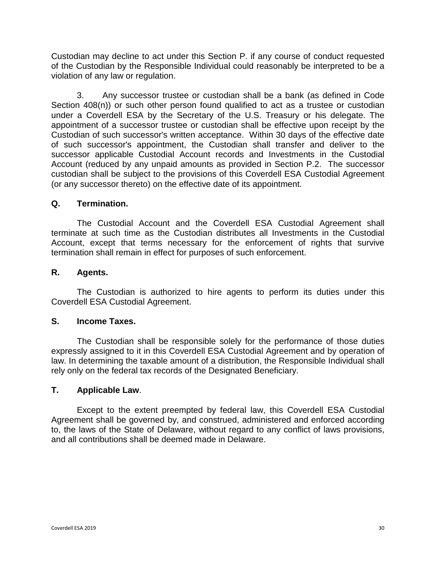Custodian may decline to act under this Section P. if any course of conduct requested of the Custodian by the Responsible Individual could reasonably be interpreted to be a violation of any law or regulation.

3. Any successor trustee or custodian shall be a bank (as defined in Code Section 408(n)) or such other person found qualified to act as a trustee or custodian under a Coverdell ESA by the Secretary of the U.S. Treasury or his delegate. The appointment of a successor trustee or custodian shall be effective upon receipt by the Custodian of such successor's written acceptance. Within 30 days of the effective date of such successor's appointment, the Custodian shall transfer and deliver to the successor applicable Custodial Account records and Investments in the Custodial Account (reduced by any unpaid amounts as provided in Section P.2. The successor custodian shall be subject to the provisions of this Coverdell ESA Custodial Agreement (or any successor thereto) on the effective date of its appointment.

#### **Q. Termination.**

The Custodial Account and the Coverdell ESA Custodial Agreement shall terminate at such time as the Custodian distributes all Investments in the Custodial Account, except that terms necessary for the enforcement of rights that survive termination shall remain in effect for purposes of such enforcement.

#### **R. Agents.**

The Custodian is authorized to hire agents to perform its duties under this Coverdell ESA Custodial Agreement.

#### **S. Income Taxes.**

The Custodian shall be responsible solely for the performance of those duties expressly assigned to it in this Coverdell ESA Custodial Agreement and by operation of law. In determining the taxable amount of a distribution, the Responsible Individual shall rely only on the federal tax records of the Designated Beneficiary.

#### **T. Applicable Law**.

Except to the extent preempted by federal law, this Coverdell ESA Custodial Agreement shall be governed by, and construed, administered and enforced according to, the laws of the State of Delaware, without regard to any conflict of laws provisions, and all contributions shall be deemed made in Delaware.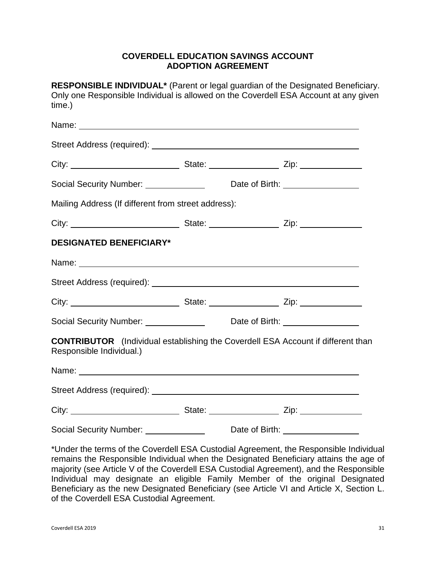#### **COVERDELL EDUCATION SAVINGS ACCOUNT ADOPTION AGREEMENT**

<span id="page-30-0"></span>**RESPONSIBLE INDIVIDUAL\*** (Parent or legal guardian of the Designated Beneficiary. Only one Responsible Individual is allowed on the Coverdell ESA Account at any given time.)

| Name: Name: Name: Name: Name: Name: Name: Name: Name: Name: Name: Name: Name: Name: Name: Name: Name: Name: Name: Name: Name: Name: Name: Name: Name: Name: Name: Name: Name: Name: Name: Name: Name: Name: Name: Name: Name:  |  |                                   |
|--------------------------------------------------------------------------------------------------------------------------------------------------------------------------------------------------------------------------------|--|-----------------------------------|
|                                                                                                                                                                                                                                |  |                                   |
|                                                                                                                                                                                                                                |  |                                   |
| Social Security Number: ______________                                                                                                                                                                                         |  | Date of Birth: __________________ |
| Mailing Address (If different from street address):                                                                                                                                                                            |  |                                   |
|                                                                                                                                                                                                                                |  |                                   |
| <b>DESIGNATED BENEFICIARY*</b>                                                                                                                                                                                                 |  |                                   |
| Name: Name:                                                                                                                                                                                                                    |  |                                   |
|                                                                                                                                                                                                                                |  |                                   |
|                                                                                                                                                                                                                                |  |                                   |
| Social Security Number: ________________________Date of Birth: _________________                                                                                                                                               |  |                                   |
| <b>CONTRIBUTOR</b> (Individual establishing the Coverdell ESA Account if different than<br>Responsible Individual.)                                                                                                            |  |                                   |
| Name: Name and the state of the state of the state of the state of the state of the state of the state of the state of the state of the state of the state of the state of the state of the state of the state of the state of |  |                                   |
|                                                                                                                                                                                                                                |  |                                   |
|                                                                                                                                                                                                                                |  |                                   |
|                                                                                                                                                                                                                                |  |                                   |

\*Under the terms of the Coverdell ESA Custodial Agreement, the Responsible Individual remains the Responsible Individual when the Designated Beneficiary attains the age of majority (see Article V of the Coverdell ESA Custodial Agreement), and the Responsible Individual may designate an eligible Family Member of the original Designated Beneficiary as the new Designated Beneficiary (see Article VI and Article X, Section L. of the Coverdell ESA Custodial Agreement.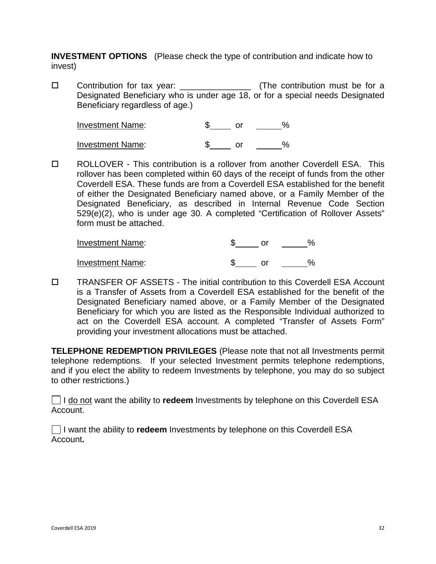**INVESTMENT OPTIONS** (Please check the type of contribution and indicate how to invest)

 Contribution for tax year: \_\_\_\_\_\_\_\_\_\_\_\_\_\_\_ (The contribution must be for a Designated Beneficiary who is under age 18, or for a special needs Designated Beneficiary regardless of age.)

| <b>Investment Name:</b> |  |  |
|-------------------------|--|--|
| <b>Investment Name:</b> |  |  |

□ ROLLOVER - This contribution is a rollover from another Coverdell ESA. This rollover has been completed within 60 days of the receipt of funds from the other Coverdell ESA. These funds are from a Coverdell ESA established for the benefit of either the Designated Beneficiary named above, or a Family Member of the Designated Beneficiary, as described in Internal Revenue Code Section 529(e)(2), who is under age 30. A completed "Certification of Rollover Assets" form must be attached.

| <b>Investment Name:</b> |  |  |
|-------------------------|--|--|
| <b>Investment Name:</b> |  |  |

 TRANSFER OF ASSETS - The initial contribution to this Coverdell ESA Account is a Transfer of Assets from a Coverdell ESA established for the benefit of the Designated Beneficiary named above, or a Family Member of the Designated Beneficiary for which you are listed as the Responsible Individual authorized to act on the Coverdell ESA account. A completed "Transfer of Assets Form" providing your investment allocations must be attached.

**TELEPHONE REDEMPTION PRIVILEGES** (Please note that not all Investments permit telephone redemptions. If your selected Investment permits telephone redemptions, and if you elect the ability to redeem Investments by telephone, you may do so subject to other restrictions.)

I do not want the ability to **redeem** Investments by telephone on this Coverdell ESA Account.

I I want the ability to **redeem** Investments by telephone on this Coverdell ESA Account**.**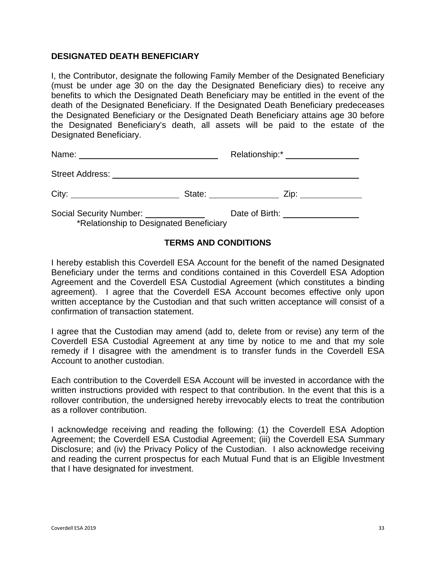#### **DESIGNATED DEATH BENEFICIARY**

I, the Contributor, designate the following Family Member of the Designated Beneficiary (must be under age 30 on the day the Designated Beneficiary dies) to receive any benefits to which the Designated Death Beneficiary may be entitled in the event of the death of the Designated Beneficiary. If the Designated Death Beneficiary predeceases the Designated Beneficiary or the Designated Death Beneficiary attains age 30 before the Designated Beneficiary's death, all assets will be paid to the estate of the Designated Beneficiary.

| Name:                                                              |        | Relationship:* |
|--------------------------------------------------------------------|--------|----------------|
| <b>Street Address:</b>                                             |        |                |
| City:                                                              | State: | Zip:           |
| Social Security Number:<br>*Relationship to Designated Beneficiary |        | Date of Birth: |

#### **TERMS AND CONDITIONS**

I hereby establish this Coverdell ESA Account for the benefit of the named Designated Beneficiary under the terms and conditions contained in this Coverdell ESA Adoption Agreement and the Coverdell ESA Custodial Agreement (which constitutes a binding agreement). I agree that the Coverdell ESA Account becomes effective only upon written acceptance by the Custodian and that such written acceptance will consist of a confirmation of transaction statement.

I agree that the Custodian may amend (add to, delete from or revise) any term of the Coverdell ESA Custodial Agreement at any time by notice to me and that my sole remedy if I disagree with the amendment is to transfer funds in the Coverdell ESA Account to another custodian.

Each contribution to the Coverdell ESA Account will be invested in accordance with the written instructions provided with respect to that contribution. In the event that this is a rollover contribution, the undersigned hereby irrevocably elects to treat the contribution as a rollover contribution.

I acknowledge receiving and reading the following: (1) the Coverdell ESA Adoption Agreement; the Coverdell ESA Custodial Agreement; (iii) the Coverdell ESA Summary Disclosure; and (iv) the Privacy Policy of the Custodian. I also acknowledge receiving and reading the current prospectus for each Mutual Fund that is an Eligible Investment that I have designated for investment.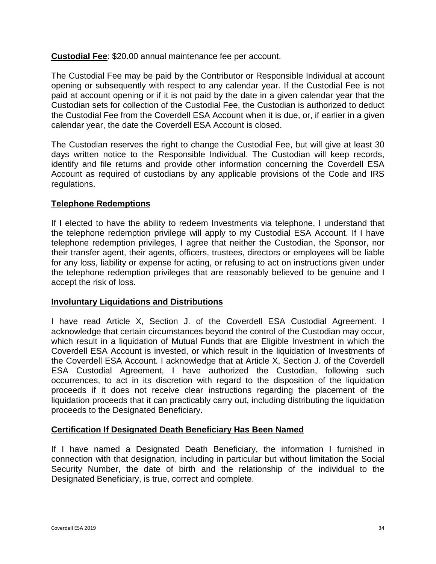**Custodial Fee**: \$20.00 annual maintenance fee per account.

The Custodial Fee may be paid by the Contributor or Responsible Individual at account opening or subsequently with respect to any calendar year. If the Custodial Fee is not paid at account opening or if it is not paid by the date in a given calendar year that the Custodian sets for collection of the Custodial Fee, the Custodian is authorized to deduct the Custodial Fee from the Coverdell ESA Account when it is due, or, if earlier in a given calendar year, the date the Coverdell ESA Account is closed.

The Custodian reserves the right to change the Custodial Fee, but will give at least 30 days written notice to the Responsible Individual. The Custodian will keep records, identify and file returns and provide other information concerning the Coverdell ESA Account as required of custodians by any applicable provisions of the Code and IRS regulations.

#### **Telephone Redemptions**

If I elected to have the ability to redeem Investments via telephone, I understand that the telephone redemption privilege will apply to my Custodial ESA Account. If I have telephone redemption privileges, I agree that neither the Custodian, the Sponsor, nor their transfer agent, their agents, officers, trustees, directors or employees will be liable for any loss, liability or expense for acting, or refusing to act on instructions given under the telephone redemption privileges that are reasonably believed to be genuine and I accept the risk of loss.

#### **Involuntary Liquidations and Distributions**

I have read Article X, Section J. of the Coverdell ESA Custodial Agreement. I acknowledge that certain circumstances beyond the control of the Custodian may occur, which result in a liquidation of Mutual Funds that are Eligible Investment in which the Coverdell ESA Account is invested, or which result in the liquidation of Investments of the Coverdell ESA Account. I acknowledge that at Article X, Section J. of the Coverdell ESA Custodial Agreement, I have authorized the Custodian, following such occurrences, to act in its discretion with regard to the disposition of the liquidation proceeds if it does not receive clear instructions regarding the placement of the liquidation proceeds that it can practicably carry out, including distributing the liquidation proceeds to the Designated Beneficiary.

#### **Certification If Designated Death Beneficiary Has Been Named**

If I have named a Designated Death Beneficiary, the information I furnished in connection with that designation, including in particular but without limitation the Social Security Number, the date of birth and the relationship of the individual to the Designated Beneficiary, is true, correct and complete.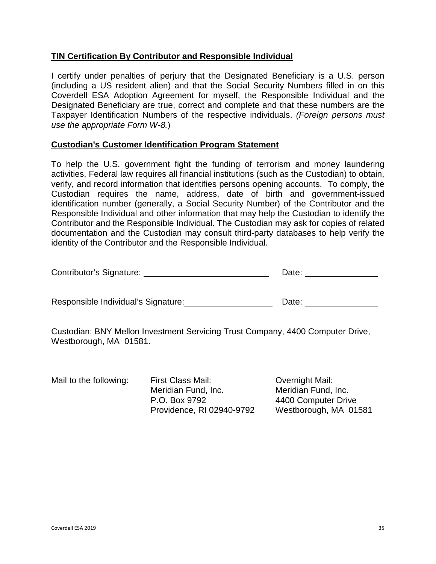### **TIN Certification By Contributor and Responsible Individual**

I certify under penalties of perjury that the Designated Beneficiary is a U.S. person (including a US resident alien) and that the Social Security Numbers filled in on this Coverdell ESA Adoption Agreement for myself, the Responsible Individual and the Designated Beneficiary are true, correct and complete and that these numbers are the Taxpayer Identification Numbers of the respective individuals. *(Foreign persons must use the appropriate Form W-8.*)

#### **Custodian's Customer Identification Program Statement**

To help the U.S. government fight the funding of terrorism and money laundering activities, Federal law requires all financial institutions (such as the Custodian) to obtain, verify, and record information that identifies persons opening accounts. To comply, the Custodian requires the name, address, date of birth and government-issued identification number (generally, a Social Security Number) of the Contributor and the Responsible Individual and other information that may help the Custodian to identify the Contributor and the Responsible Individual. The Custodian may ask for copies of related documentation and the Custodian may consult third-party databases to help verify the identity of the Contributor and the Responsible Individual.

| Contributor's Signature:            | Date: |
|-------------------------------------|-------|
|                                     |       |
| Responsible Individual's Signature: | Date: |

Custodian: BNY Mellon Investment Servicing Trust Company, 4400 Computer Drive, Westborough, MA 01581.

| Mail to the following: | First Class Mail:         | Overnight Mail:       |
|------------------------|---------------------------|-----------------------|
|                        | Meridian Fund, Inc.       | Meridian Fund, Inc.   |
|                        | P.O. Box 9792             | 4400 Computer Drive   |
|                        | Providence, RI 02940-9792 | Westborough, MA 01581 |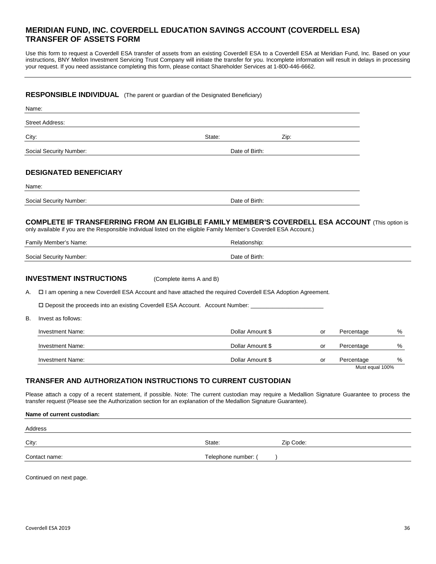#### <span id="page-35-0"></span>**MERIDIAN FUND, INC. COVERDELL EDUCATION SAVINGS ACCOUNT (COVERDELL ESA) TRANSFER OF ASSETS FORM**

Use this form to request a Coverdell ESA transfer of assets from an existing Coverdell ESA to a Coverdell ESA at Meridian Fund, Inc. Based on your instructions, BNY Mellon Investment Servicing Trust Company will initiate the transfer for you. Incomplete information will result in delays in processing your request. If you need assistance completing this form, please contact Shareholder Services at 1-800-446-6662.

|          |                                                                                |                                                                                                             | RESPONSIBLE INDIVIDUAL (The parent or guardian of the Designated Beneficiary) |           |                               |      |
|----------|--------------------------------------------------------------------------------|-------------------------------------------------------------------------------------------------------------|-------------------------------------------------------------------------------|-----------|-------------------------------|------|
|          | Name:                                                                          |                                                                                                             |                                                                               |           |                               |      |
|          | <b>Street Address:</b>                                                         |                                                                                                             |                                                                               |           |                               |      |
| City:    |                                                                                | State:                                                                                                      | Zip:                                                                          |           |                               |      |
|          | Social Security Number:                                                        | Date of Birth:                                                                                              |                                                                               |           |                               |      |
|          | <b>DESIGNATED BENEFICIARY</b>                                                  |                                                                                                             |                                                                               |           |                               |      |
| Name:    |                                                                                |                                                                                                             |                                                                               |           |                               |      |
|          | Social Security Number:                                                        | Date of Birth:                                                                                              |                                                                               |           |                               |      |
|          | Social Security Number:<br><b>INVESTMENT INSTRUCTIONS</b>                      | Date of Birth:<br>(Complete items A and B)                                                                  |                                                                               |           |                               |      |
|          |                                                                                |                                                                                                             |                                                                               |           |                               |      |
|          |                                                                                | □ I am opening a new Coverdell ESA Account and have attached the required Coverdell ESA Adoption Agreement. |                                                                               |           |                               |      |
|          | □ Deposit the proceeds into an existing Coverdell ESA Account. Account Number: |                                                                                                             |                                                                               |           |                               |      |
|          | Invest as follows:                                                             |                                                                                                             |                                                                               |           |                               |      |
| Α.<br>В. | <b>Investment Name:</b>                                                        | Dollar Amount \$                                                                                            |                                                                               | or        | Percentage                    | %    |
|          | <b>Investment Name:</b>                                                        | Dollar Amount \$                                                                                            |                                                                               | or        | Percentage                    | %    |
|          | <b>Investment Name:</b>                                                        | Dollar Amount \$                                                                                            |                                                                               | <b>or</b> | Percentage<br>Must equal 100% | $\%$ |

#### **Name of current custodian:**

| Address       |                     |           |
|---------------|---------------------|-----------|
| City:         | State:              | Zip Code: |
| Contact name: | Telephone number: ( |           |
|               |                     |           |

Continued on next page.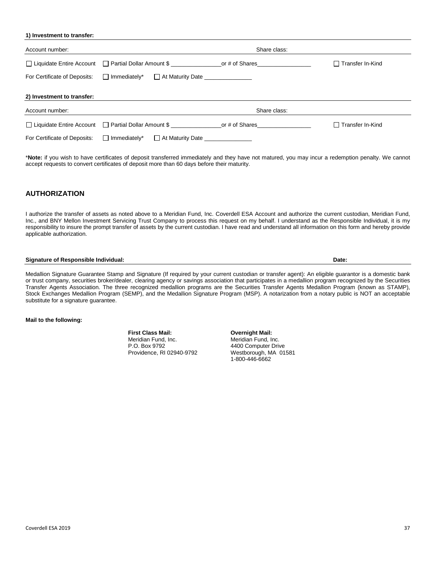**1) Investment to transfer:**

| Account number:              |                                                                                              | Share class: |                    |
|------------------------------|----------------------------------------------------------------------------------------------|--------------|--------------------|
|                              | □ Liquidate Entire Account □ Partial Dollar Amount \$ ________________________or # of Shares |              | □ Transfer In-Kind |
| For Certificate of Deposits: | $\Box$ Immediately*<br>At Maturity Date <b>Network</b> 1997                                  |              |                    |
| 2) Investment to transfer:   |                                                                                              |              |                    |
| Account number:              |                                                                                              | Share class: |                    |
|                              | □ Liquidate Entire Account □ Partial Dollar Amount \$ or # of Shares                         |              | □ Transfer In-Kind |
| For Certificate of Deposits: | $\Box$ Immediately*<br>At Maturity Date At Album At A                                        |              |                    |

\***Note:** if you wish to have certificates of deposit transferred immediately and they have not matured, you may incur a redemption penalty. We cannot accept requests to convert certificates of deposit more than 60 days before their maturity.

#### **AUTHORIZATION**

I authorize the transfer of assets as noted above to a Meridian Fund, Inc. Coverdell ESA Account and authorize the current custodian, Meridian Fund, Inc., and BNY Mellon Investment Servicing Trust Company to process this request on my behalf. I understand as the Responsible Individual, it is my responsibility to insure the prompt transfer of assets by the current custodian. I have read and understand all information on this form and hereby provide applicable authorization.

#### **Signature of Responsible Individual: Date:**

Medallion Signature Guarantee Stamp and Signature (If required by your current custodian or transfer agent): An eligible guarantor is a domestic bank or trust company, securities broker/dealer, clearing agency or savings association that participates in a medallion program recognized by the Securities Transfer Agents Association. The three recognized medallion programs are the Securities Transfer Agents Medallion Program (known as STAMP), Stock Exchanges Medallion Program (SEMP), and the Medallion Signature Program (MSP). A notarization from a notary public is NOT an acceptable substitute for a signature guarantee.

#### **Mail to the following:**

**First Class Mail: Overnight Mail:** Meridian Fund, Inc. **Meridian Fund, Inc.** Meridian Fund, Inc. **P.O. Box 9792** Providence, RI 02940-9792

4400 Computer Drive<br>Westborough, MA 01581 1-800-446-6662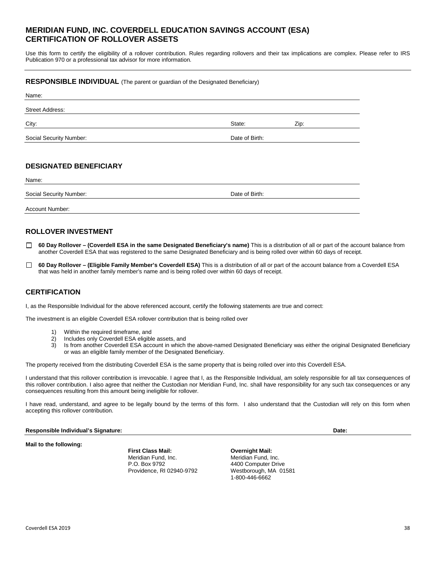#### <span id="page-37-0"></span>**MERIDIAN FUND, INC. COVERDELL EDUCATION SAVINGS ACCOUNT (ESA) CERTIFICATION OF ROLLOVER ASSETS**

Use this form to certify the eligibility of a rollover contribution. Rules regarding rollovers and their tax implications are complex. Please refer to IRS Publication 970 or a professional tax advisor for more information.

#### **RESPONSIBLE INDIVIDUAL** (The parent or guardian of the Designated Beneficiary)

| Name:                   |                |      |  |
|-------------------------|----------------|------|--|
| <b>Street Address:</b>  |                |      |  |
| City:                   | State:         | Zip: |  |
| Social Security Number: | Date of Birth: |      |  |
|                         |                |      |  |

#### **DESIGNATED BENEFICIARY**

| Name:                   |                |
|-------------------------|----------------|
| Social Security Number: | Date of Birth: |
| Account Number:         |                |

#### **ROLLOVER INVESTMENT**

- П **60 Day Rollover – (Coverdell ESA in the same Designated Beneficiary's name)** This is a distribution of all or part of the account balance from another Coverdell ESA that was registered to the same Designated Beneficiary and is being rolled over within 60 days of receipt.
- П **60 Day Rollover – (Eligible Family Member's Coverdell ESA)** This is a distribution of all or part of the account balance from a Coverdell ESA that was held in another family member's name and is being rolled over within 60 days of receipt.

#### **CERTIFICATION**

I, as the Responsible Individual for the above referenced account, certify the following statements are true and correct:

The investment is an eligible Coverdell ESA rollover contribution that is being rolled over

- 1) Within the required timeframe, and
- 2) Includes only Coverdell ESA eligible assets, and
- 3) Is from another Coverdell ESA account in which the above-named Designated Beneficiary was either the original Designated Beneficiary or was an eligible family member of the Designated Beneficiary.

The property received from the distributing Coverdell ESA is the same property that is being rolled over into this Coverdell ESA.

I understand that this rollover contribution is irrevocable. I agree that I, as the Responsible Individual, am solely responsible for all tax consequences of this rollover contribution. I also agree that neither the Custodian nor Meridian Fund, Inc. shall have responsibility for any such tax consequences or any consequences resulting from this amount being ineligible for rollover.

I have read, understand, and agree to be legally bound by the terms of this form. I also understand that the Custodian will rely on this form when accepting this rollover contribution.

#### **Responsible Individual's Signature: Date:**

**Mail to the following:**

**First Class Mail: Overnight Mail:** Meridian Fund, Inc. **Meridian Fund, Inc.**<br>P.O. Box 9792 **Martial Primeries Additional Primeries** A400 Computer Driv P.O. Box 9792 4400 Computer Drive<br>
Providence, RI 02940-9792 Westborough, MA 01

Westborough, MA 01581 1-800-446-6662

Coverdell ESA 2019 38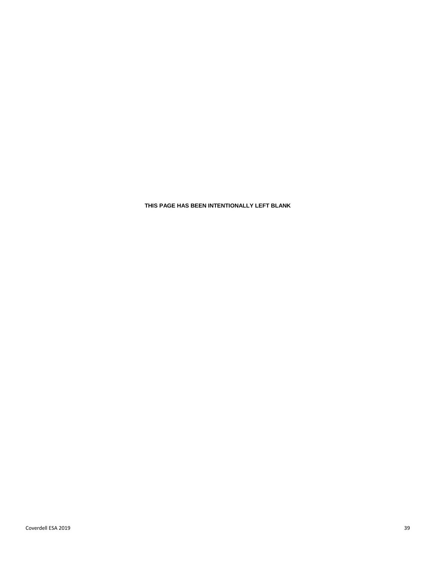**THIS PAGE HAS BEEN INTENTIONALLY LEFT BLANK**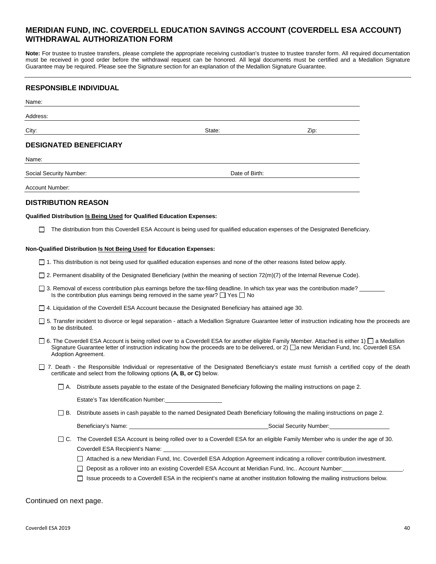#### <span id="page-39-0"></span>**MERIDIAN FUND, INC. COVERDELL EDUCATION SAVINGS ACCOUNT (COVERDELL ESA ACCOUNT) WITHDRAWAL AUTHORIZATION FORM**

Note: For trustee to trustee transfers, please complete the appropriate receiving custodian's trustee to trustee transfer form. All required documentation must be received in good order before the withdrawal request can be honored. All legal documents must be certified and a Medallion Signature Guarantee may be required. Please see the Signature section for an explanation of the Medallion Signature Guarantee.

#### **RESPONSIBLE INDIVIDUAL**

| Name:                         |        |      |
|-------------------------------|--------|------|
| Address:                      |        |      |
| City:                         | State: | Zip: |
| <b>DESIGNATED BENEFICIARY</b> |        |      |
| Name:                         |        |      |
|                               |        |      |

Social Security Number:  $\overline{\phantom{a}}$  Date of Birth:

Account Number:

#### **DISTRIBUTION REASON**

#### **Qualified Distribution Is Being Used for Qualified Education Expenses:**

The distribution from this Coverdell ESA Account is being used for qualified education expenses of the Designated Beneficiary.

#### **Non-Qualified Distribution Is Not Being Used for Education Expenses:**

 $\Box$  1. This distribution is not being used for qualified education expenses and none of the other reasons listed below apply.

 $\Box$  2. Permanent disability of the Designated Beneficiary (within the meaning of section 72(m)(7) of the Internal Revenue Code).

 $\square$  3. Removal of excess contribution plus earnings before the tax-filing deadline. In which tax year was the contribution made? Is the contribution plus earnings being removed in the same year?  $\Box$  Yes  $\Box$  No

 $\Box$  4. Liquidation of the Coverdell ESA Account because the Designated Beneficiary has attained age 30.

- □ 5. Transfer incident to divorce or legal separation attach a Medallion Signature Guarantee letter of instruction indicating how the proceeds are to be distributed.
- $\Box$  6. The Coverdell ESA Account is being rolled over to a Coverdell ESA for another eligible Family Member. Attached is either 1)  $\Box$  a Medallion Signature Guarantee letter of instruction indicating how the proceeds are to be delivered, or  $2)$   $\Box$ a new Meridian Fund, Inc. Coverdell ESA Adoption Agreement.
- 7. Death the Responsible Individual or representative of the Designated Beneficiary's estate must furnish a certified copy of the death certificate and select from the following options **(A, B, or C)** below.
	- A. Distribute assets payable to the estate of the Designated Beneficiary following the mailing instructions on page 2.

Estate's Tax Identification Number:\_\_\_\_\_\_\_\_\_\_\_\_\_\_\_\_\_\_

 $\Box$  B. Distribute assets in cash payable to the named Designated Death Beneficiary following the mailing instructions on page 2.

Beneficiary's Name: \_\_\_\_\_\_\_\_\_\_\_\_\_\_\_\_\_\_\_\_\_\_\_\_\_\_\_\_\_\_\_\_\_\_\_\_\_\_\_\_\_\_\_\_Social Security Number:\_\_\_\_\_\_\_\_\_\_\_\_\_\_\_\_\_\_\_

- C. The Coverdell ESA Account is being rolled over to a Coverdell ESA for an eligible Family Member who is under the age of 30. Coverdell ESA Recipient's Name:
	- Attached is a new Meridian Fund, Inc. Coverdell ESA Adoption Agreement indicating a rollover contribution investment.
	- $\Box$  Deposit as a rollover into an existing Coverdell ESA Account at Meridian Fund, Inc.. Account Number:
	- $\Box$  Issue proceeds to a Coverdell ESA in the recipient's name at another institution following the mailing instructions below.

Continued on next page.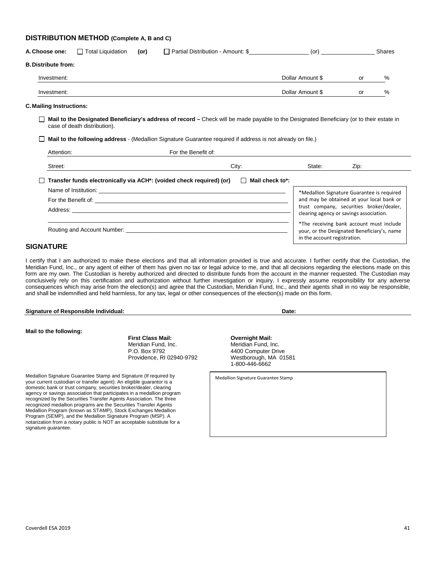#### **DISTRIBUTION METHOD (Complete A, B and C)**

| A. Choose one:             | $\Box$ Total Liquidation | (or) | Partial Distribution - Amount: \$ | (or)             |    | Shares |
|----------------------------|--------------------------|------|-----------------------------------|------------------|----|--------|
| <b>B. Distribute from:</b> |                          |      |                                   |                  |    |        |
| Investment:                |                          |      |                                   | Dollar Amount \$ | or | %      |
| Investment:                |                          |      |                                   | Dollar Amount \$ | or | %      |
|                            |                          |      |                                   |                  |    |        |

#### **C.Mailing Instructions:**

**Mail to the Designated Beneficiary's address of record –** Check will be made payable to the Designated Beneficiary (or to their estate in case of death distribution).

**Mail to the following address** - (Medallion Signature Guarantee required if address is not already on file.)

| Attention:                                                                                                                                                                                                                     | For the Benefit of:                                                                                                                                                                                                           |                              |                                                                                         |  |
|--------------------------------------------------------------------------------------------------------------------------------------------------------------------------------------------------------------------------------|-------------------------------------------------------------------------------------------------------------------------------------------------------------------------------------------------------------------------------|------------------------------|-----------------------------------------------------------------------------------------|--|
| Street:                                                                                                                                                                                                                        | City:                                                                                                                                                                                                                         | State:                       | Zip:                                                                                    |  |
|                                                                                                                                                                                                                                | $\Box$ Transfer funds electronically via ACH <sup>*</sup> : (voided check required) (or)<br>$\Box$ Mail check to*:                                                                                                            |                              |                                                                                         |  |
|                                                                                                                                                                                                                                | Name of Institution: New York Changes and the Changes of the Changes of the Changes of the Changes of the Changes of the Changes of the Changes of the Changes of the Changes of the Changes of the Changes of the Changes of |                              | *Medallion Signature Guarantee is required                                              |  |
| For the Benefit of: The state of the Benefit of:                                                                                                                                                                               |                                                                                                                                                                                                                               |                              | and may be obtained at your local bank or                                               |  |
| Address: Andreas Address and Address and Address and Address and Address and Address and Address and Address and Address and Address and Address and Address and Address and Address and Address and Address and Address and A |                                                                                                                                                                                                                               |                              | trust company, securities broker/dealer,<br>clearing agency or savings association.     |  |
| Routing and Account Number:                                                                                                                                                                                                    |                                                                                                                                                                                                                               | in the account registration. | *The receiving bank account must include<br>your, or the Designated Beneficiary's, name |  |

#### **SIGNATURE**

I certify that I am authorized to make these elections and that all information provided is true and accurate. I further certify that the Custodian, the Meridian Fund, Inc., or any agent of either of them has given no tax or legal advice to me, and that all decisions regarding the elections made on this form are my own. The Custodian is hereby authorized and directed to distribute funds from the account in the manner requested. The Custodian may conclusively rely on this certification and authorization without further investigation or inquiry. I expressly assume responsibility for any adverse consequences which may arise from the election(s) and agree that the Custodian, Meridian Fund, Inc., and their agents shall in no way be responsible, and shall be indemnified and held harmless, for any tax, legal or other consequences of the election(s) made on this form.

#### **Signature of Responsible Individual: Date:**

#### **Mail to the following:**

**First Class Mail: Overnight Mail:** Meridian Fund, Inc. 6. Meridian Fund, Inc.<br>P.O. Box 9792 14400 Computer Driv Providence, RI 02940-9792

Medallion Signature Guarantee Stamp and Signature (If required by your current custodian or transfer agent): An eligible guarantor is a domestic bank or trust company, securities broker/dealer, clearing agency or savings association that participates in a medallion program recognized by the Securities Transfer Agents Association. The three recognized medallion programs are the Securities Transfer Agents Medallion Program (known as STAMP), Stock Exchanges Medallion Program (SEMP), and the Medallion Signature Program (MSP). A notarization from a notary public is NOT an acceptable substitute for a signature guarantee.

4400 Computer Drive<br>Westborough, MA 01581 1-800-446-6662

Medallion Signature Guarantee Stamp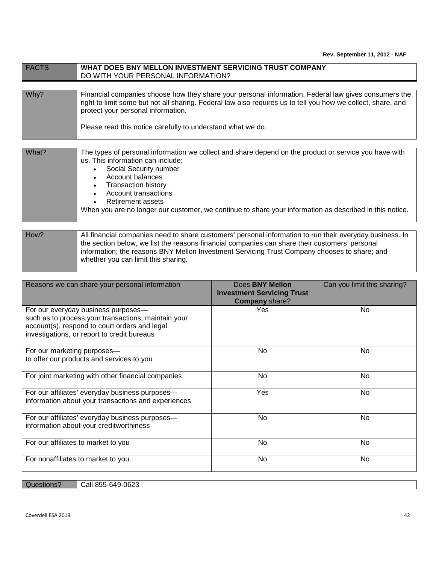<span id="page-41-0"></span>

| <b>FACTS</b> | WHAT DOES BNY MELLON INVESTMENT SERVICING TRUST COMPANY<br>DO WITH YOUR PERSONAL INFORMATION?                                                                                                                                                                                                                                                                                  |
|--------------|--------------------------------------------------------------------------------------------------------------------------------------------------------------------------------------------------------------------------------------------------------------------------------------------------------------------------------------------------------------------------------|
|              |                                                                                                                                                                                                                                                                                                                                                                                |
| Why?         | Financial companies choose how they share your personal information. Federal law gives consumers the<br>right to limit some but not all sharing. Federal law also requires us to tell you how we collect, share, and<br>protect your personal information.                                                                                                                     |
|              | Please read this notice carefully to understand what we do.                                                                                                                                                                                                                                                                                                                    |
|              |                                                                                                                                                                                                                                                                                                                                                                                |
| What?        | The types of personal information we collect and share depend on the product or service you have with<br>us. This information can include:<br>Social Security number<br>Account balances<br>Transaction history<br>Account transactions<br><b>Retirement assets</b><br>When you are no longer our customer, we continue to share your information as described in this notice. |
|              |                                                                                                                                                                                                                                                                                                                                                                                |
| How?         | All financial companies need to share customers' personal information to run their everyday business. In<br>the section below, we list the reasons financial companies can share their customers' personal                                                                                                                                                                     |

information; the reasons BNY Mellon Investment Servicing Trust Company chooses to share; and

| Reasons we can share your personal information                                                                                                                                             | Does BNY Mellon<br><b>Investment Servicing Trust</b><br><b>Company share?</b> | Can you limit this sharing? |
|--------------------------------------------------------------------------------------------------------------------------------------------------------------------------------------------|-------------------------------------------------------------------------------|-----------------------------|
| For our everyday business purposes-<br>such as to process your transactions, maintain your<br>account(s), respond to court orders and legal<br>investigations, or report to credit bureaus | Yes                                                                           | No.                         |
| For our marketing purposes-<br>to offer our products and services to you                                                                                                                   | No.                                                                           | No.                         |
| For joint marketing with other financial companies                                                                                                                                         | No                                                                            | No                          |
| For our affiliates' everyday business purposes-<br>information about your transactions and experiences                                                                                     | <b>Yes</b>                                                                    | No                          |
| For our affiliates' everyday business purposes-<br>information about your creditworthiness                                                                                                 | No.                                                                           | No.                         |
| For our affiliates to market to you                                                                                                                                                        | No                                                                            | No                          |
| For nonaffiliates to market to you                                                                                                                                                         | No.                                                                           | No.                         |

Questions? | Call 855-649-0623

whether you can limit this sharing.